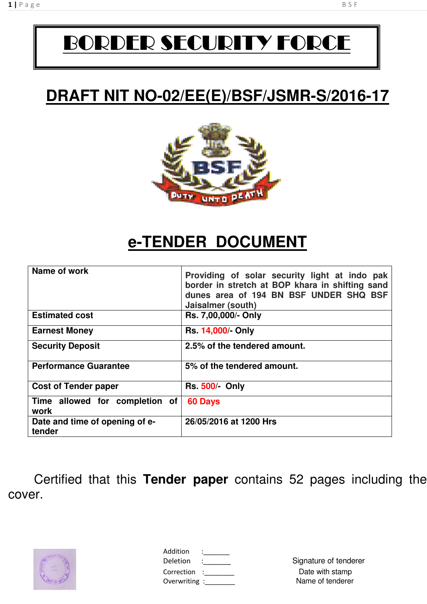# BORDER SECURITY FORCE

# **DRAFT NIT NO-02/EE(E)/BSF/JSMR-S/2016-17**



# **e-TENDER DOCUMENT**

| Name of work                             | Providing of solar security light at indo pak<br>border in stretch at BOP khara in shifting sand<br>dunes area of 194 BN BSF UNDER SHQ BSF<br>Jaisalmer (south) |
|------------------------------------------|-----------------------------------------------------------------------------------------------------------------------------------------------------------------|
| <b>Estimated cost</b>                    | Rs. 7,00,000/- Only                                                                                                                                             |
| <b>Earnest Money</b>                     | <b>Rs. 14,000/- Only</b>                                                                                                                                        |
| <b>Security Deposit</b>                  | 2.5% of the tendered amount.                                                                                                                                    |
| <b>Performance Guarantee</b>             | 5% of the tendered amount.                                                                                                                                      |
| <b>Cost of Tender paper</b>              | <b>Rs. 500/- Only</b>                                                                                                                                           |
| Time allowed for completion of<br>work   | 60 Days                                                                                                                                                         |
| Date and time of opening of e-<br>tender | 26/05/2016 at 1200 Hrs                                                                                                                                          |

Certified that this **Tender paper** contains 52 pages including the cover.



| Addition      |  |
|---------------|--|
| Deletion      |  |
| Correction    |  |
| Overwriting : |  |
|               |  |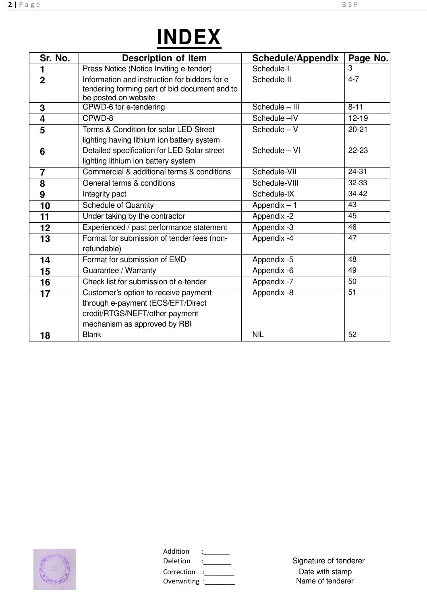|  | <b>INDEX</b> |  |
|--|--------------|--|
|  |              |  |

| Sr. No.        | <b>Description of Item</b>                                                                                                                  | <b>Schedule/Appendix</b> | Page No.  |
|----------------|---------------------------------------------------------------------------------------------------------------------------------------------|--------------------------|-----------|
| 1              | Press Notice (Notice Inviting e-tender)                                                                                                     | Schedule-I               | 3         |
| $\overline{2}$ | Information and instruction for bidders for e-<br>tendering forming part of bid document and to<br>be posted on website                     | Schedule-II              | $4 - 7$   |
| 3              | CPWD-6 for e-tendering                                                                                                                      | Schedule - III           | $8 - 11$  |
| 4              | CPWD-8                                                                                                                                      | Schedule-IV              | $12 - 19$ |
| 5              | Terms & Condition for solar LED Street<br>lighting having lithium ion battery system                                                        | Schedule - V             | $20 - 21$ |
| 6              | Detailed specification for LED Solar street<br>lighting lithium ion battery system                                                          | Schedule - VI            | $22 - 23$ |
| $\overline{7}$ | Commercial & additional terms & conditions                                                                                                  | Schedule-VII             | $24 - 31$ |
| 8              | General terms & conditions                                                                                                                  | Schedule-VIII            | 32-33     |
| 9              | Integrity pact                                                                                                                              | Schedule-IX              | 34-42     |
| 10             | <b>Schedule of Quantity</b>                                                                                                                 | Appendix $-1$            | 43        |
| 11             | Under taking by the contractor                                                                                                              | Appendix -2              | 45        |
| 12             | Experienced / past performance statement                                                                                                    | Appendix -3              | 46        |
| 13             | Format for submission of tender fees (non-<br>refundable)                                                                                   | Appendix -4              | 47        |
| 14             | Format for submission of EMD                                                                                                                | Appendix -5              | 48        |
| 15             | Guarantee / Warranty                                                                                                                        | Appendix -6              | 49        |
| 16             | Check list for submission of e-tender                                                                                                       | Appendix -7              | 50        |
| 17             | Customer's option to receive payment<br>through e-payment (ECS/EFT/Direct<br>credit/RTGS/NEFT/other payment<br>mechanism as approved by RBI | Appendix -8              | 51        |
| 18             | <b>Blank</b>                                                                                                                                | <b>NIL</b>               | 52        |



| Addition<br>Deletion        |  |
|-----------------------------|--|
| Correction<br>Overwriting : |  |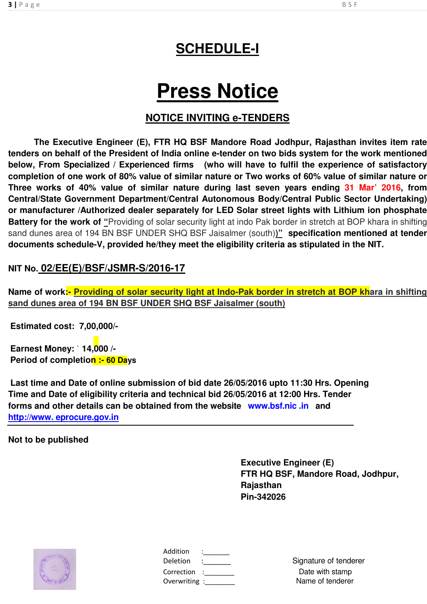# **SCHEDULE-I**

# **Press Notice**

### **NOTICE INVITING e-TENDERS**

**The Executive Engineer (E), FTR HQ BSF Mandore Road Jodhpur, Rajasthan invites item rate tenders on behalf of the President of India online e-tender on two bids system for the work mentioned below, From Specialized / Experienced firms (who will have to fulfil the experience of satisfactory completion of one work of 80% value of similar nature or Two works of 60% value of similar nature or Three works of 40% value of similar nature during last seven years ending 31 Mar' 2016, from Central/State Government Department/Central Autonomous Body/Central Public Sector Undertaking) or manufacturer /Authorized dealer separately for LED Solar street lights with Lithium ion phosphate Battery for the work of "Providing of solar security light at indo Pak border in stretch at BOP khara in shifting** sand dunes area of 194 BN BSF UNDER SHQ BSF Jaisalmer (south)**)" specification mentioned at tender documents schedule-V, provided he/they meet the eligibility criteria as stipulated in the NIT.** 

### **NIT No. 02/EE(E)/BSF/JSMR-S/2016-17**

Name of work:- Providing of solar security light at Indo-Pak border in stretch at BOP khara in shifting **sand dunes area of 194 BN BSF UNDER SHQ BSF Jaisalmer (south)** 

**Estimated cost: 7,00,000/-**

**Earnest Money:** ` **14,000 /- Period of completion :- 60 Days**

**Last time and Date of online submission of bid date 26/05/2016 upto 11:30 Hrs. Opening Time and Date of eligibility criteria and technical bid 26/05/2016 at 12:00 Hrs. Tender forms and other details can be obtained from the website www.bsf.nic .in and http://www. eprocure.gov.in**

**Not to be published**

**Executive Engineer (E) FTR HQ BSF, Mandore Road, Jodhpur, Rajasthan Pin-342026**



| Addition      |  |
|---------------|--|
| Deletion      |  |
| Correction    |  |
| Overwriting : |  |
|               |  |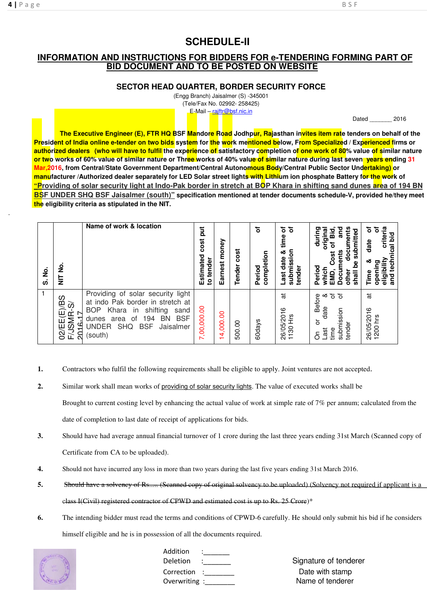.

### **SCHEDULE-II**

#### **INFORMATION AND INSTRUCTIONS FOR BIDDERS FOR e-TENDERING FORMING PART OF BID DOCUMENT AND TO BE POSTED ON WEBSITE**

**SECTOR HEAD QUARTER, BORDER SECURITY FORCE** 

(Engg Branch) Jaisalmer (S) -345001 (Tele/Fax No. 02992- 258425)

E-Mail – rajftr@bsf.nic.in

Dated \_\_\_\_\_\_\_ 2016

**The Executive Engineer (E), FTR HQ BSF Mandore Road Jodhpur, Rajasthan invites item rate tenders on behalf of the President of India online e-tender on two bids system for the work mentioned below, From Specialized / Experienced firms or authorized dealers (who will have to fulfil the experience of satisfactory completion of one work of 80% value of similar nature or two works of 60% value of similar nature or Three works of 40% value of similar nature during last seven years ending 31 Mar,2016, from Central/State Government Department/Central Autonomous Body/Central Public Sector Undertaking) or manufacturer /Authorized dealer separately for LED Solar street lights with Lithium ion phosphate Battery for the work of "Providing of solar security light at Indo-Pak border in stretch at BOP Khara in shifting sand dunes area of 194 BN BSF UNDER SHQ BSF Jaisalmer (south)" specification mentioned at tender documents schedule-V, provided he/they meet the eligibility criteria as stipulated in the NIT.** 

| g<br><u> ဟ</u> | g<br>늘                                                | Name of work & location                                                                                                                                                                                                               | ä<br>cost<br>Estimated<br>tender<br>$\overline{a}$ | Earnest money | cost<br>Tender | ৳<br>completion<br>Period | ৳<br>৳<br>time<br>등<br>ఱ<br>date<br>submissi<br>tender<br>Last | documents<br>ខ<br>ត<br>submitted<br>original<br>Bid<br>Ē<br>ᇹ<br>ᅙ<br>ments<br>Cost<br><u>مو</u><br>Period<br>Docu<br>EMD,<br>other<br>shall<br>whict | criteria<br>ō<br>ō<br>technical bid<br>date<br>eligibility<br>ā<br>open<br>Time<br><b>Due</b> |
|----------------|-------------------------------------------------------|---------------------------------------------------------------------------------------------------------------------------------------------------------------------------------------------------------------------------------------|----------------------------------------------------|---------------|----------------|---------------------------|----------------------------------------------------------------|-------------------------------------------------------------------------------------------------------------------------------------------------------|-----------------------------------------------------------------------------------------------|
|                | ഗ<br>(E)/B<br>ഗ്<br><b>F/JSMR</b><br>ΈE<br>2016<br>ସି | Providing of solar security light<br>at indo Pak border in stretch at<br>shifting<br>BOP<br>Khara<br>in<br>sand<br><b>BSF</b><br>194<br>ΒN<br>dunes<br>area<br>ΟĪ<br><b>UNDER</b><br><b>SHQ</b><br><b>BSF</b><br>Jaisalmer<br>(south) | 7,00,000.00                                        | 14,000.00     | 500.00         | 60days                    | ೆಸ<br>ဖ<br>26/05/201<br>ЭH<br>1130                             | ಕ ಕ<br><b>Before</b><br>∞ర<br>date<br>submission<br>ŏ<br>tender<br>Last<br>time<br>δ                                                                  | ೆಸ<br>ဖ<br>26/05/201                                                                          |

- **1.** Contractors who fulfil the following requirements shall be eligible to apply. Joint ventures are not accepted.
- **2.** Similar work shall mean works of providing of solar security lights. The value of executed works shall be Brought to current costing level by enhancing the actual value of work at simple rate of 7% per annum; calculated from the date of completion to last date of receipt of applications for bids.
- **3.** Should have had average annual financial turnover of 1 crore during the last three years ending 31st March (Scanned copy of Certificate from CA to be uploaded).
- **4.** Should not have incurred any loss in more than two years during the last five years ending 31st March 2016.
- **5.** Should have a solvency of Rs..... (Scanned copy of original solvency to be uploaded) (Solvency not required if applicant is a class I(Civil) registered contractor of CPWD and estimated cost is up to Rs. 25 Crore)\*
- **6.** The intending bidder must read the terms and conditions of CPWD-6 carefully. He should only submit his bid if he considers himself eligible and he is in possession of all the documents required.



Addition Correction : Correction : Correction : Correction is a Date with stamp Overwriting : example of tenderer

Deletion : Signature of tenderer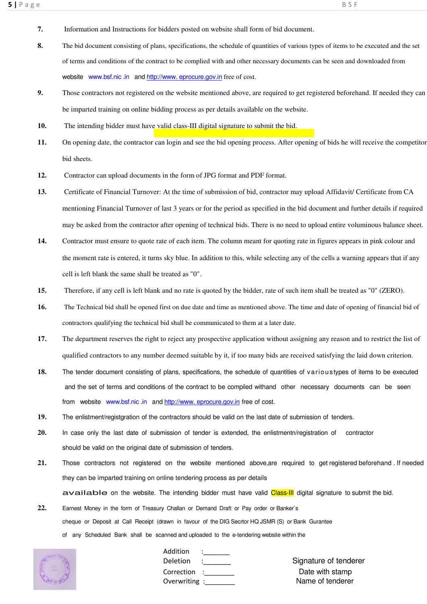- **7.** Information and Instructions for bidders posted on website shall form of bid document.
- **8.** The bid document consisting of plans, specifications, the schedule of quantities of various types of items to be executed and the set of terms and conditions of the contract to be complied with and other necessary documents can be seen and downloaded from website www.bsf.nic .in and http://www.eprocure.gov.in free of cost.
- **9.** Those contractors not registered on the website mentioned above, are required to get registered beforehand. If needed they can be imparted training on online bidding process as per details available on the website.
- **10.** The intending bidder must have valid class-III digital signature to submit the bid.
- **11.** On opening date, the contractor can login and see the bid opening process. After opening of bids he will receive the competitor bid sheets.
- **12.** Contractor can upload documents in the form of JPG format and PDF format.
- **13.** Certificate of Financial Turnover: At the time of submission of bid, contractor may upload Affidavit/ Certificate from CA mentioning Financial Turnover of last 3 years or for the period as specified in the bid document and further details if required may be asked from the contractor after opening of technical bids. There is no need to upload entire voluminous balance sheet.
- **14.** Contractor must ensure to quote rate of each item. The column meant for quoting rate in figures appears in pink colour and the moment rate is entered, it turns sky blue. In addition to this, while selecting any of the cells a warning appears that if any cell is left blank the same shall be treated as "0".
- **15.** Therefore, if any cell is left blank and no rate is quoted by the bidder, rate of such item shall be treated as "0" (ZERO).
- **16.** The Technical bid shall be opened first on due date and time as mentioned above. The time and date of opening of financial bid of contractors qualifying the technical bid shall be communicated to them at a later date.
- **17.** The department reserves the right to reject any prospective application without assigning any reason and to restrict the list of qualified contractors to any number deemed suitable by it, if too many bids are received satisfying the laid down criterion.
- **18.** The tender document consisting of plans, specifications, the schedule of quantities of varioustypes of items to be executed and the set of terms and conditions of the contract to be compiled withand other necessary documents can be seen from website www.bsf.nic.in and http://www.eprocure.gov.in free of cost.
- **19.** The enlistment/registgration of the contractors should be valid on the last date of submission of tenders.
- **20.** In case only the last date of submission of tender is extended, the enlistmentn/registration of contractor should be valid on the original date of submission of tenders.
- **21.** Those contractors not registered on the website mentioned above,are required to get registered beforehand . If needed they can be imparted training on online tendering process as per details available on the website. The intending bidder must have valid Class-III digital signature to submit the bid.
- **22.** Earnest Money in the form of Treasury Challan or Demand Draft or Pay order or Banker`s cheque or Deposit at Call Receipt (drawn in favour of the DIG Secrtor HQ JSMR (S) or Bank Gurantee of any Scheduled Bank shall be scanned and uploaded to the e-tendering website within the



| Addition     |  |
|--------------|--|
| Deletion     |  |
| Correction   |  |
| Overwriting: |  |
|              |  |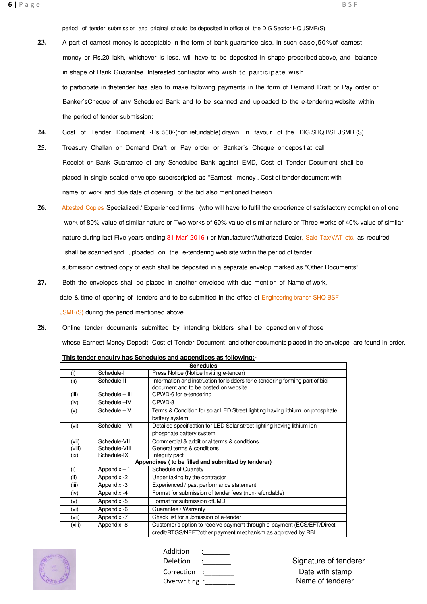period of tender submission and original should be deposited in office of the DIG Secrtor HQ JSMR(S)

- **23.** A part of earnest money is acceptable in the form of bank guarantee also. In such case,50%of earnest money or Rs.20 lakh, whichever is less, will have to be deposited in shape prescribed above, and balance in shape of Bank Guarantee. Interested contractor who wish to participate wish to participate in thetender has also to make following payments in the form of Demand Draft or Pay order or Banker`sCheque of any Scheduled Bank and to be scanned and uploaded to the e-tendering website within the period of tender submission:
- **24.** Cost of Tender Document -Rs. 500/-(non refundable) drawn in favour of the DIG SHQ BSF JSMR (S)
- **25.** Treasury Challan or Demand Draft or Pay order or Banker`s Cheque or deposit at call Receipt or Bank Guarantee of any Scheduled Bank against EMD, Cost of Tender Document shall be placed in single sealed envelope superscripted as "Earnest money . Cost of tender document with name of work and due date of opening of the bid also mentioned thereon.
- **26.** Attested Copies Specialized / Experienced firms (who will have to fulfil the experience of satisfactory completion of one work of 80% value of similar nature or Two works of 60% value of similar nature or Three works of 40% value of similar nature during last Five years ending 31 Mar' 2016 ) or Manufacturer/Authorized Dealer, Sale Tax/VAT etc. as required shall be scanned and uploaded on the e-tendering web site within the period of tender submission certified copy of each shall be deposited in a separate envelop marked as "Other Documents".
- **27.** Both the envelopes shall be placed in another envelope with due mention of Name of work, date & time of opening of tenders and to be submitted in the office of Engineering branch SHQ BSF JSMR(S) during the period mentioned above.
- **28.** Online tender documents submitted by intending bidders shall be opened only of those whose Earnest Money Deposit, Cost of Tender Document and other documents placed in the envelope are found in order.

| Schedules |                |                                                                                                                                       |  |  |
|-----------|----------------|---------------------------------------------------------------------------------------------------------------------------------------|--|--|
| (i)       | Schedule-I     | Press Notice (Notice Inviting e-tender)                                                                                               |  |  |
| (iii)     | Schedule-II    | Information and instruction for bidders for e-tendering forming part of bid<br>document and to be posted on website                   |  |  |
| (iii)     | Schedule - III | CPWD-6 for e-tendering                                                                                                                |  |  |
| (iv)      | Schedule-IV    | CPWD-8                                                                                                                                |  |  |
| (v)       | $Schedule - V$ | Terms & Condition for solar LED Street lighting having lithium ion phosphate<br>battery system                                        |  |  |
| (vi)      | Schedule - VI  | Detailed specification for LED Solar street lighting having lithium ion<br>phosphate battery system                                   |  |  |
| (vii)     | Schedule-VII   | Commercial & additional terms & conditions                                                                                            |  |  |
| (viii)    | Schedule-VIII  | General terms & conditions                                                                                                            |  |  |
| (ix)      | Schedule-IX    | Integrity pact                                                                                                                        |  |  |
|           |                | Appendixes (to be filled and submitted by tenderer)                                                                                   |  |  |
| (i)       | Appendix $-1$  | Schedule of Quantity                                                                                                                  |  |  |
| (ii)      | Appendix -2    | Under taking by the contractor                                                                                                        |  |  |
| (iii)     | Appendix -3    | Experienced / past performance statement                                                                                              |  |  |
| (iv)      | Appendix -4    | Format for submission of tender fees (non-refundable)                                                                                 |  |  |
| (v)       | Appendix -5    | Format for submission of EMD                                                                                                          |  |  |
| (vi)      | Appendix -6    | Guarantee / Warranty                                                                                                                  |  |  |
| (vii)     | Appendix -7    | Check list for submission of e-tender                                                                                                 |  |  |
| (xiii)    | Appendix -8    | Customer's option to receive payment through e-payment (ECS/EFT/Direct<br>credit/RTGS/NEFT/other payment mechanism as approved by RBI |  |  |





| Addition    |  |
|-------------|--|
| Deletion    |  |
| Correction  |  |
| Overwriting |  |
|             |  |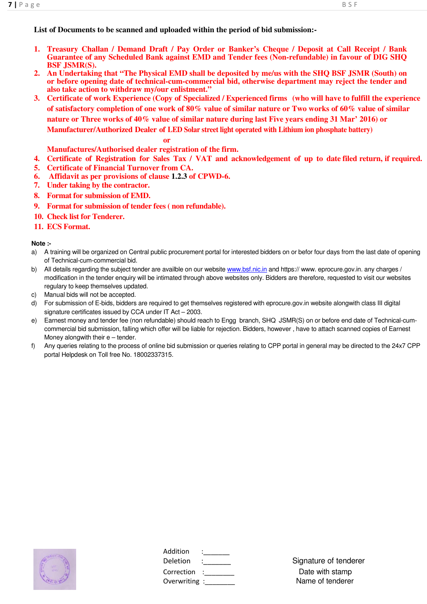**List of Documents to be scanned and uploaded within the period of bid submission:-**

- **1. Treasury Challan / Demand Draft / Pay Order or Banker's Cheque / Deposit at Call Receipt / Bank Guarantee of any Scheduled Bank against EMD and Tender fees (Non-refundable) in favour of DIG SHQ BSF JSMR(S).**
- **2. An Undertaking that "The Physical EMD shall be deposited by me/us with the SHQ BSF JSMR (South) on or before opening date of technical-cum-commercial bid, otherwise department may reject the tender and also take action to withdraw my/our enlistment."**
- **3. Certificate of work Experience (Copy of Specialized / Experienced firms (who will have to fulfill the experience of satisfactory completion of one work of 80% value of similar nature or Two works of 60% value of similar nature or Three works of 40% value of similar nature during last Five years ending 31 Mar' 2016) or Manufacturer/Authorized Dealer of LED Solar street light operated with Lithium ion phosphate battery)**

**or** 

- **Manufactures/Authorised dealer registration of the firm.**
- **4. Certificate of Registration for Sales Tax / VAT and acknowledgement of up to date filed return, if required.**
- **5. Certificate of Financial Turnover from CA.**
- **6. Affidavit as per provisions of clause 1.2.3 of CPWD-6.**
- **7. Under taking by the contractor.**
- **8. Format for submission of EMD.**
- **9. Format for submission of tender fees ( non refundable).**
- **10. Check list for Tenderer.**
- **11. ECS Format.**

#### **Note :-**

- a) A training will be organized on Central public procurement portal for interested bidders on or befor four days from the last date of opening of Technical-cum-commercial bid.
- b) All details regarding the subject tender are availble on our website www.bsf.nic.in and https://www.eprocure.gov.in. any charges / modification in the tender enquiry will be intimated through above websites only. Bidders are therefore, requested to visit our websites regulary to keep themselves updated.
- c) Manual bids will not be accepted.
- d) For submission of E-bids, bidders are required to get themselves registered with eprocure.gov.in website alongwith class III digital signature certificates issued by CCA under IT Act – 2003.
- e) Earnest money and tender fee (non refundable) should reach to Engg branch, SHQ JSMR(S) on or before end date of Technical-cumcommercial bid submission, falling which offer will be liable for rejection. Bidders, however , have to attach scanned copies of Earnest Money alongwith their  $e$  – tender.
- f) Any queries relating to the process of online bid submission or queries relating to CPP portal in general may be directed to the 24x7 CPP portal Helpdesk on Toll free No. 18002337315.



| Addition     |  |
|--------------|--|
| Deletion     |  |
| Correction   |  |
| Overwriting: |  |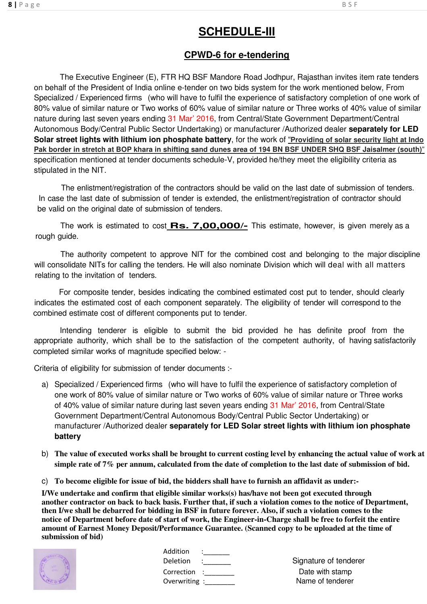# **SCHEDULE-III**

### **CPWD-6 for e-tendering**

The Executive Engineer (E), FTR HQ BSF Mandore Road Jodhpur, Rajasthan invites item rate tenders on behalf of the President of India online e-tender on two bids system for the work mentioned below, From Specialized / Experienced firms (who will have to fulfil the experience of satisfactory completion of one work of 80% value of similar nature or Two works of 60% value of similar nature or Three works of 40% value of similar nature during last seven years ending 31 Mar' 2016, from Central/State Government Department/Central Autonomous Body/Central Public Sector Undertaking) or manufacturer /Authorized dealer **separately for LED Solar street lights with lithium ion phosphate battery**, for the work of "**Providing of solar security light at Indo Pak border in stretch at BOP khara in shifting sand dunes area of 194 BN BSF UNDER SHQ BSF Jaisalmer (south)**" specification mentioned at tender documents schedule-V, provided he/they meet the eligibility criteria as stipulated in the NIT.

 The enlistment/registration of the contractors should be valid on the last date of submission of tenders. In case the last date of submission of tender is extended, the enlistment/registration of contractor should be valid on the original date of submission of tenders.

The work is estimated to cost **Rs. 7,00,000/-** This estimate, however, is given merely as a rough guide.

 The authority competent to approve NIT for the combined cost and belonging to the major discipline will consolidate NITs for calling the tenders. He will also nominate Division which will deal with all matters relating to the invitation of tenders.

 For composite tender, besides indicating the combined estimated cost put to tender, should clearly indicates the estimated cost of each component separately. The eligibility of tender will correspond to the combined estimate cost of different components put to tender.

Intending tenderer is eligible to submit the bid provided he has definite proof from the appropriate authority, which shall be to the satisfaction of the competent authority, of having satisfactorily completed similar works of magnitude specified below: -

Criteria of eligibility for submission of tender documents :-

- a) Specialized / Experienced firms (who will have to fulfil the experience of satisfactory completion of one work of 80% value of similar nature or Two works of 60% value of similar nature or Three works of 40% value of similar nature during last seven years ending 31 Mar' 2016, from Central/State Government Department/Central Autonomous Body/Central Public Sector Undertaking) or manufacturer /Authorized dealer **separately for LED Solar street lights with lithium ion phosphate battery**
- b) **The value of executed works shall be brought to current costing level by enhancing the actual value of work at simple rate of 7% per annum, calculated from the date of completion to the last date of submission of bid.**
- c) **To become eligible for issue of bid, the bidders shall have to furnish an affidavit as under:-**

**I/We undertake and confirm that eligible similar works(s) has/have not been got executed through another contractor on back to back basis. Further that, if such a violation comes to the notice of Department, then I/we shall be debarred for bidding in BSF in future forever. Also, if such a violation comes to the notice of Department before date of start of work, the Engineer-in-Charge shall be free to forfeit the entire amount of Earnest Money Deposit/Performance Guarantee. (Scanned copy to be uploaded at the time of submission of bid)**



| Addition<br>Deletion :                | $\frac{1}{2}$ . The set of $\frac{1}{2}$ | Signature of tende                  |
|---------------------------------------|------------------------------------------|-------------------------------------|
| Correction :<br>Overwriting :________ |                                          | Date with stamp<br>Name of tenderer |

Deletion : Signature of tenderer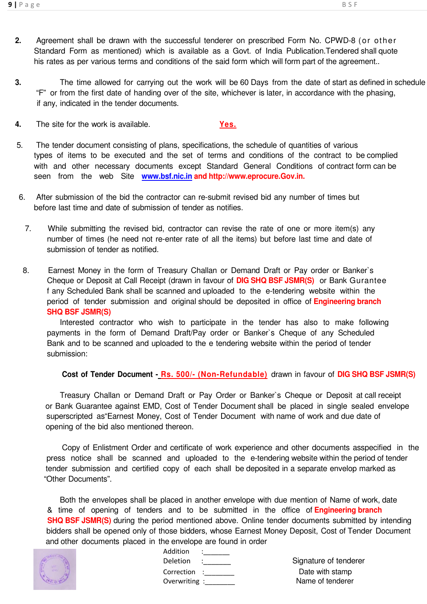- **2.** Agreement shall be drawn with the successful tenderer on prescribed Form No. CPWD-8 (or other Standard Form as mentioned) which is available as a Govt. of India Publication.Tendered shall quote his rates as per various terms and conditions of the said form which will form part of the agreement..
- **3.** The time allowed for carrying out the work will be 60 Days from the date of start as defined in schedule "F" or from the first date of handing over of the site, whichever is later, in accordance with the phasing, if any, indicated in the tender documents.
- **4.** The site for the work is available. **Yes.**
- 5. The tender document consisting of plans, specifications, the schedule of quantities of various types of items to be executed and the set of terms and conditions of the contract to be complied with and other necessary documents except Standard General Conditions of contract form can be seen from the web Site **www.bsf.nic.in and http://www.eprocure.Gov.in.**
- 6. After submission of the bid the contractor can re-submit revised bid any number of times but before last time and date of submission of tender as notifies.
	- 7. While submitting the revised bid, contractor can revise the rate of one or more item(s) any number of times (he need not re-enter rate of all the items) but before last time and date of submission of tender as notified.
	- 8. Earnest Money in the form of Treasury Challan or Demand Draft or Pay order or Banker`s Cheque or Deposit at Call Receipt (drawn in favour of **DIG SHQ BSF JSMR(S)** or Bank Gurantee f any Scheduled Bank shall be scanned and uploaded to the e-tendering website within the period of tender submission and original should be deposited in office of **Engineering branch SHQ BSF JSMR(S)**

Interested contractor who wish to participate in the tender has also to make following payments in the form of Demand Draft/Pay order or Banker`s Cheque of any Scheduled Bank and to be scanned and uploaded to the e tendering website within the period of tender submission:

#### **Cost of Tender Document - Rs. 500/- (Non-Refundable)** drawn in favour of **DIG SHQ BSF JSMR(S)**

Treasury Challan or Demand Draft or Pay Order or Banker`s Cheque or Deposit at call receipt or Bank Guarantee against EMD, Cost of Tender Document shall be placed in single sealed envelope superscripted as"Earnest Money, Cost of Tender Document with name of work and due date of opening of the bid also mentioned thereon.

 Copy of Enlistment Order and certificate of work experience and other documents asspecified in the press notice shall be scanned and uploaded to the e-tendering website within the period of tender tender submission and certified copy of each shall be deposited in a separate envelop marked as "Other Documents".

Both the envelopes shall be placed in another envelope with due mention of Name of work, date & time of opening of tenders and to be submitted in the office of **Engineering branch SHQ BSF JSMR(S)** during the period mentioned above. Online tender documents submitted by intending bidders shall be opened only of those bidders, whose Earnest Money Deposit, Cost of Tender Document and other documents placed in the envelope are found in order



| ie eriveidhe are iomid |  |
|------------------------|--|
| Addition               |  |
| Deletion               |  |
| Correction             |  |
| Overwriting :          |  |
|                        |  |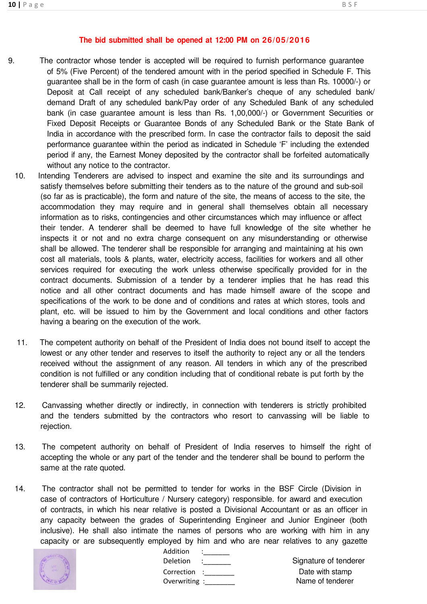#### **The bid submitted shall be opened at 12:00 PM on 26/05/2016**

- 9. The contractor whose tender is accepted will be required to furnish performance guarantee of 5% (Five Percent) of the tendered amount with in the period specified in Schedule F. This guarantee shall be in the form of cash (in case guarantee amount is less than Rs. 10000/-) or Deposit at Call receipt of any scheduled bank/Banker's cheque of any scheduled bank/ demand Draft of any scheduled bank/Pay order of any Scheduled Bank of any scheduled bank (in case guarantee amount is less than Rs. 1,00,000/-) or Government Securities or Fixed Deposit Receipts or Guarantee Bonds of any Scheduled Bank or the State Bank of India in accordance with the prescribed form. In case the contractor fails to deposit the said performance guarantee within the period as indicated in Schedule 'F' including the extended period if any, the Earnest Money deposited by the contractor shall be forfeited automatically without any notice to the contractor.
	- 10. Intending Tenderers are advised to inspect and examine the site and its surroundings and satisfy themselves before submitting their tenders as to the nature of the ground and sub-soil (so far as is practicable), the form and nature of the site, the means of access to the site, the accommodation they may require and in general shall themselves obtain all necessary information as to risks, contingencies and other circumstances which may influence or affect their tender. A tenderer shall be deemed to have full knowledge of the site whether he inspects it or not and no extra charge consequent on any misunderstanding or otherwise shall be allowed. The tenderer shall be responsible for arranging and maintaining at his own cost all materials, tools & plants, water, electricity access, facilities for workers and all other services required for executing the work unless otherwise specifically provided for in the contract documents. Submission of a tender by a tenderer implies that he has read this notice and all other contract documents and has made himself aware of the scope and specifications of the work to be done and of conditions and rates at which stores, tools and plant, etc. will be issued to him by the Government and local conditions and other factors having a bearing on the execution of the work.
	- 11. The competent authority on behalf of the President of India does not bound itself to accept the lowest or any other tender and reserves to itself the authority to reject any or all the tenders received without the assignment of any reason. All tenders in which any of the prescribed condition is not fulfilled or any condition including that of conditional rebate is put forth by the tenderer shall be summarily rejected.
	- 12. Canvassing whether directly or indirectly, in connection with tenderers is strictly prohibited and the tenders submitted by the contractors who resort to canvassing will be liable to rejection.
	- 13. The competent authority on behalf of President of India reserves to himself the right of accepting the whole or any part of the tender and the tenderer shall be bound to perform the same at the rate quoted.
	- 14. The contractor shall not be permitted to tender for works in the BSF Circle (Division in case of contractors of Horticulture / Nursery category) responsible. for award and execution of contracts, in which his near relative is posted a Divisional Accountant or as an officer in any capacity between the grades of Superintending Engineer and Junior Engineer (both inclusive). He shall also intimate the names of persons who are working with him in any capacity or are subsequently employed by him and who are near relatives to any gazette



| Addition      |  |
|---------------|--|
| Deletion      |  |
| Correction    |  |
| Overwriting : |  |
|               |  |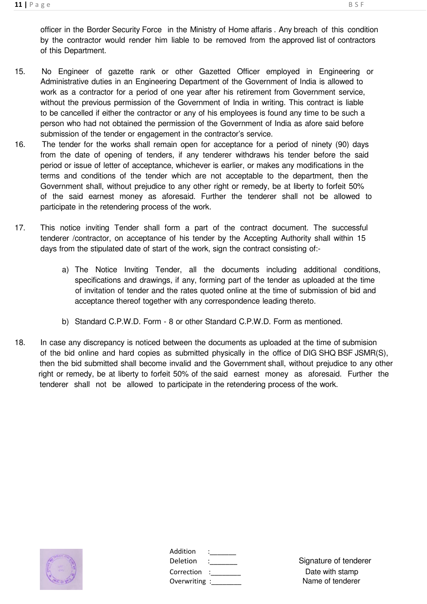- 15. No Engineer of gazette rank or other Gazetted Officer employed in Engineering or Administrative duties in an Engineering Department of the Government of India is allowed to work as a contractor for a period of one year after his retirement from Government service, without the previous permission of the Government of India in writing. This contract is liable to be cancelled if either the contractor or any of his employees is found any time to be such a person who had not obtained the permission of the Government of India as afore said before submission of the tender or engagement in the contractor's service.
- 16. The tender for the works shall remain open for acceptance for a period of ninety (90) days from the date of opening of tenders, if any tenderer withdraws his tender before the said period or issue of letter of acceptance, whichever is earlier, or makes any modifications in the terms and conditions of the tender which are not acceptable to the department, then the Government shall, without prejudice to any other right or remedy, be at liberty to forfeit 50% of the said earnest money as aforesaid. Further the tenderer shall not be allowed to participate in the retendering process of the work.
- 17. This notice inviting Tender shall form a part of the contract document. The successful tenderer /contractor, on acceptance of his tender by the Accepting Authority shall within 15 days from the stipulated date of start of the work, sign the contract consisting of:
	- a) The Notice Inviting Tender, all the documents including additional conditions, specifications and drawings, if any, forming part of the tender as uploaded at the time of invitation of tender and the rates quoted online at the time of submission of bid and acceptance thereof together with any correspondence leading thereto.
	- b) Standard C.P.W.D. Form 8 or other Standard C.P.W.D. Form as mentioned.
- 18. In case any discrepancy is noticed between the documents as uploaded at the time of submision of the bid online and hard copies as submitted physically in the office of DIG SHQ BSF JSMR(S), then the bid submitted shall become invalid and the Government shall, without prejudice to any other right or remedy, be at liberty to forfeit 50% of the said earnest money as aforesaid. Further the tenderer shall not be allowed to participate in the retendering process of the work.



| Addition      |  |
|---------------|--|
| Deletion      |  |
| Correction    |  |
| Overwriting : |  |
|               |  |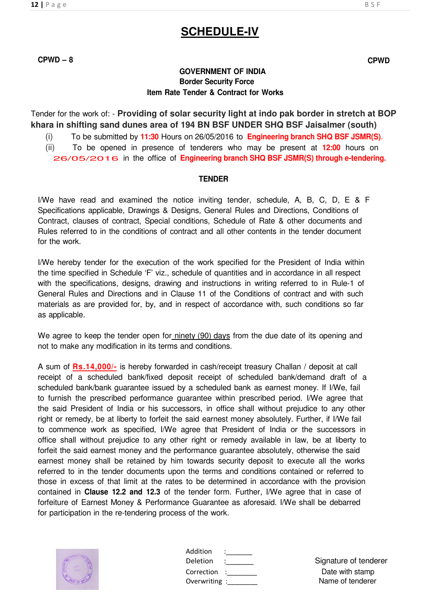#### **GOVERNMENT OF INDIA Border Security Force Item Rate Tender & Contract for Works**

Tender for the work of: - **Providing of solar security light at indo pak border in stretch at BOP khara in shifting sand dunes area of 194 BN BSF UNDER SHQ BSF Jaisalmer (south)** 

(i) To be submitted by **11:30** Hours on 26/05/2016 to **Engineering branch SHQ BSF JSMR(S).**

(ii) To be opened in presence of tenderers who may be present at **12:00** hours on

26/05/2016 in the office of **Engineering branch SHQ BSF JSMR(S) through e-tendering.**

#### **TENDER**

I/We have read and examined the notice inviting tender, schedule, A, B, C, D, E & F Specifications applicable, Drawings & Designs, General Rules and Directions, Conditions of Contract, clauses of contract, Special conditions, Schedule of Rate & other documents and Rules referred to in the conditions of contract and all other contents in the tender document for the work.

I/We hereby tender for the execution of the work specified for the President of India within the time specified in Schedule 'F' viz., schedule of quantities and in accordance in all respect with the specifications, designs, drawing and instructions in writing referred to in Rule-1 of General Rules and Directions and in Clause 11 of the Conditions of contract and with such materials as are provided for, by, and in respect of accordance with, such conditions so far as applicable.

We agree to keep the tender open for ninety (90) days from the due date of its opening and not to make any modification in its terms and conditions.

A sum of **Rs.14,000/-** is hereby forwarded in cash/receipt treasury Challan / deposit at call receipt of a scheduled bank/fixed deposit receipt of scheduled bank/demand draft of a scheduled bank/bank guarantee issued by a scheduled bank as earnest money. If I/We, fail to furnish the prescribed performance guarantee within prescribed period. I/We agree that the said President of India or his successors, in office shall without prejudice to any other right or remedy, be at liberty to forfeit the said earnest money absolutely. Further, if I/We fail to commence work as specified, I/We agree that President of India or the successors in office shall without prejudice to any other right or remedy available in law, be at liberty to forfeit the said earnest money and the performance guarantee absolutely, otherwise the said earnest money shall be retained by him towards security deposit to execute all the works referred to in the tender documents upon the terms and conditions contained or referred to those in excess of that limit at the rates to be determined in accordance with the provision contained in **Clause 12.2 and 12.3** of the tender form. Further, I/We agree that in case of forfeiture of Earnest Money & Performance Guarantee as aforesaid. I/We shall be debarred for participation in the re-tendering process of the work.



| Addition    |  |
|-------------|--|
| Deletion    |  |
| Correction  |  |
| Overwriting |  |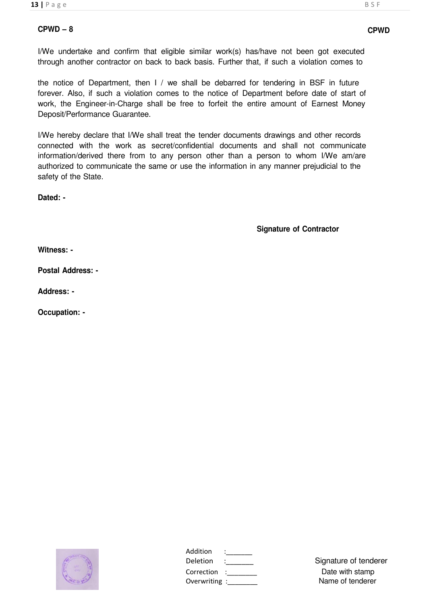I/We undertake and confirm that eligible similar work(s) has/have not been got executed through another contractor on back to back basis. Further that, if such a violation comes to

the notice of Department, then I / we shall be debarred for tendering in BSF in future forever. Also, if such a violation comes to the notice of Department before date of start of work, the Engineer-in-Charge shall be free to forfeit the entire amount of Earnest Money Deposit/Performance Guarantee.

I/We hereby declare that I/We shall treat the tender documents drawings and other records connected with the work as secret/confidential documents and shall not communicate information/derived there from to any person other than a person to whom I/We am/are authorized to communicate the same or use the information in any manner prejudicial to the safety of the State.

**Dated: -**

**Signature of Contractor**

**Witness: -**

**Postal Address: -**

**Address: -**

**Occupation: -**



|               | Signature of tende                                                                                                                                                                                                                                                                                                                                          |
|---------------|-------------------------------------------------------------------------------------------------------------------------------------------------------------------------------------------------------------------------------------------------------------------------------------------------------------------------------------------------------------|
| Correction :  | Date with stamp                                                                                                                                                                                                                                                                                                                                             |
| Overwriting : | Name of tenderer                                                                                                                                                                                                                                                                                                                                            |
|               | $\frac{1}{2}$ $\frac{1}{2}$ $\frac{1}{2}$ $\frac{1}{2}$ $\frac{1}{2}$ $\frac{1}{2}$ $\frac{1}{2}$ $\frac{1}{2}$ $\frac{1}{2}$ $\frac{1}{2}$ $\frac{1}{2}$ $\frac{1}{2}$ $\frac{1}{2}$ $\frac{1}{2}$ $\frac{1}{2}$ $\frac{1}{2}$ $\frac{1}{2}$ $\frac{1}{2}$ $\frac{1}{2}$ $\frac{1}{2}$ $\frac{1}{2}$ $\frac{1}{2}$<br>$\ddot{\phantom{a}}$ : $\phantom{a}$ |

Deletion : Signature of tenderer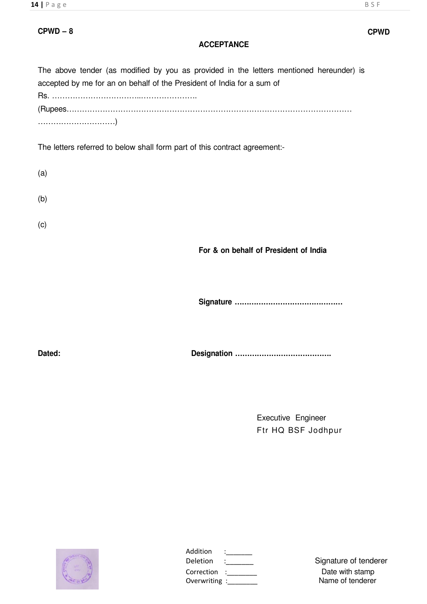#### **ACCEPTANCE**

The above tender (as modified by you as provided in the letters mentioned hereunder) is accepted by me for an on behalf of the President of India for a sum of Rs. ……………………………..…………………. (Rupees………………………………………………………………………………………………… …………………………)

The letters referred to below shall form part of this contract agreement:-

| (a) |  |  |  |
|-----|--|--|--|
| (b) |  |  |  |
| (c) |  |  |  |

**For & on behalf of President of India**

**Signature ………………………………………**

**Dated: Designation ………………………………….**

Executive Engineer Ftr HQ BSF Jodhpur



| Signature of tende                                         |
|------------------------------------------------------------|
| Date with stamp                                            |
| Name of tenderer                                           |
| $\mathcal{L}=\mathcal{L}$<br>Correction :<br>Overwriting : |

Deletion :\_\_\_\_\_\_\_ Signature of tenderer Name of tenderer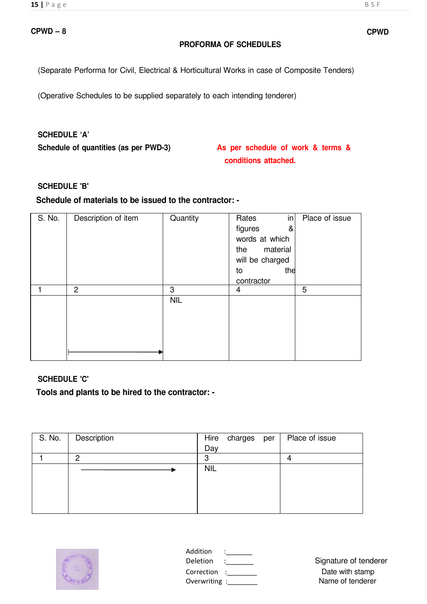#### **PROFORMA OF SCHEDULES**

(Separate Performa for Civil, Electrical & Horticultural Works in case of Composite Tenders)

(Operative Schedules to be supplied separately to each intending tenderer)

#### **SCHEDULE 'A'**

**Schedule of quantities (as per PWD-3) As per schedule of work & terms &**

**conditions attached.**

#### **SCHEDULE 'B'**

#### **Schedule of materials to be issued to the contractor: -**

| S. No. | Description of item | Quantity   | in<br>Rates     | Place of issue |
|--------|---------------------|------------|-----------------|----------------|
|        |                     |            | figures<br>&    |                |
|        |                     |            | words at which  |                |
|        |                     |            | material<br>the |                |
|        |                     |            | will be charged |                |
|        |                     |            | the<br>to       |                |
|        |                     |            | contractor      |                |
|        | $\overline{2}$      | 3          | 4               | 5              |
|        |                     | <b>NIL</b> |                 |                |
|        |                     |            |                 |                |
|        |                     |            |                 |                |
|        |                     |            |                 |                |
|        |                     |            |                 |                |
|        |                     |            |                 |                |

#### **SCHEDULE 'C'**

**Tools and plants to be hired to the contractor: -**

| S. No. | Description |            | Hire charges per | Place of issue |
|--------|-------------|------------|------------------|----------------|
|        |             | Day        |                  |                |
|        | 2           | ≏          |                  |                |
|        |             | <b>NIL</b> |                  |                |
|        |             |            |                  |                |
|        |             |            |                  |                |
|        |             |            |                  |                |
|        |             |            |                  |                |



| Addition    |  |
|-------------|--|
| Deletion    |  |
| Correction  |  |
| Overwriting |  |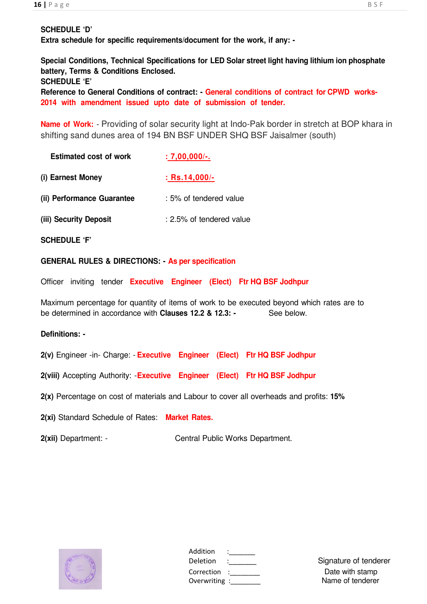#### **SCHEDULE 'D'**

**Extra schedule for specific requirements/document for the work, if any: -**

**Special Conditions, Technical Specifications for LED Solar street light having lithium ion phosphate battery, Terms & Conditions Enclosed. SCHEDULE 'E'** 

**Reference to General Conditions of contract: - General conditions of contract for CPWD works-2014 with amendment issued upto date of submission of tender.**

**Name of Work:** - Providing of solar security light at Indo-Pak border in stretch at BOP khara in shifting sand dunes area of 194 BN BSF UNDER SHQ BSF Jaisalmer (south)

| <b>Estimated cost of work</b> | $: 7,00,000/$ -.          |
|-------------------------------|---------------------------|
| (i) Earnest Money             | $:$ Rs.14,000/-           |
| (ii) Performance Guarantee    | $: 5\%$ of tendered value |
| (iii) Security Deposit        | : 2.5% of tendered value  |

**SCHEDULE 'F'**

**GENERAL RULES & DIRECTIONS: - As per specification**

Officer inviting tender **Executive Engineer (Elect) Ftr HQ BSF Jodhpur**

Maximum percentage for quantity of items of work to be executed beyond which rates are to be determined in accordance with **Clauses 12.2 & 12.3: -** See below.

#### **Definitions: -**

**2(v)** Engineer -in- Charge: - **Executive Engineer (Elect) Ftr HQ BSF Jodhpur**

**2(viii)** Accepting Authority: - **Executive Engineer (Elect) Ftr HQ BSF Jodhpur**

**2(x)** Percentage on cost of materials and Labour to cover all overheads and profits: **15%**

**2(xi)** Standard Schedule of Rates: **Market Rates.**

**2(xii)** Department: - Central Public Works Department.



| Addition      |  |
|---------------|--|
| Deletion      |  |
| Correction    |  |
| Overwriting : |  |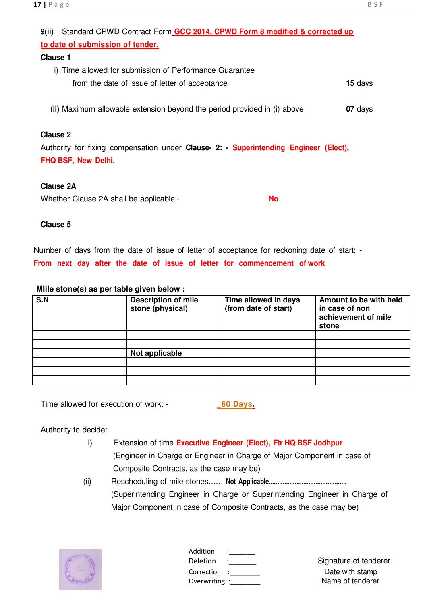## **9(ii)** Standard CPWD Contract Form **GCC 2014, CPWD Form 8 modified & corrected up to date of submission of tender. Clause 1** i) Time allowed for submission of Performance Guarantee from the date of issue of letter of acceptance **15** days

 **(ii)** Maximum allowable extension beyond the period provided in (i) above **07** days

### **Clause 2**

Authority for fixing compensation under **Clause- 2: - Superintending Engineer (Elect), FHQ BSF, New Delhi.**

### **Clause 2A**

Whether Clause 2A shall be applicable:- **No**

#### **Clause 5**

Number of days from the date of issue of letter of acceptance for reckoning date of start: - **From next day after the date of issue of letter for commencement of work**

### **MIile stone(s) as per table given below :**

| S.N | <b>Description of mile</b><br>stone (physical) | Time allowed in days<br>(from date of start) | Amount to be with held<br>in case of non<br>achievement of mile<br>stone |
|-----|------------------------------------------------|----------------------------------------------|--------------------------------------------------------------------------|
|     |                                                |                                              |                                                                          |
|     |                                                |                                              |                                                                          |
|     | Not applicable                                 |                                              |                                                                          |
|     |                                                |                                              |                                                                          |
|     |                                                |                                              |                                                                          |
|     |                                                |                                              |                                                                          |

Time allowed for execution of work: - **\_60 Days.**

Authority to decide:

- i) Extension of time **Executive Engineer (Elect), Ftr HQ BSF Jodhpur** (Engineer in Charge or Engineer in Charge of Major Component in case of Composite Contracts, as the case may be)
- (ii) Rescheduling of mile stones...... **Not Applicable.............................................** (Superintending Engineer in Charge or Superintending Engineer in Charge of Major Component in case of Composite Contracts, as the case may be)



| Addition               |  |
|------------------------|--|
| Deletion<br>Correction |  |
| Overwriting :          |  |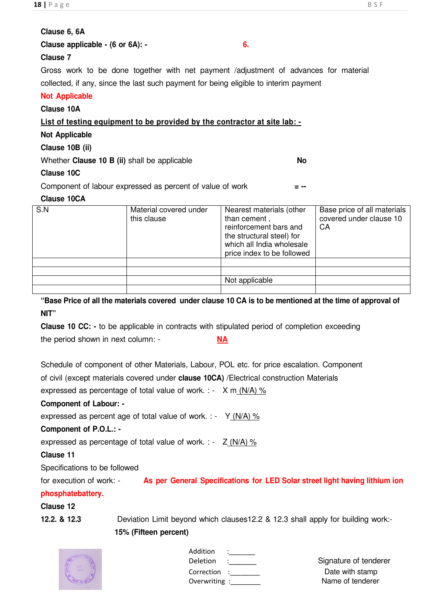#### **Clause 6, 6A**

|  | Clause applicable - (6 or 6A): - |  |  |
|--|----------------------------------|--|--|
|--|----------------------------------|--|--|

#### **Clause 7**

Gross work to be done together with net payment /adjustment of advances for material collected, if any, since the last such payment for being eligible to interim payment

#### **Not Applicable**

#### **Clause 10A List of testing equipment to be provided by the contractor at site lab: - Not Applicable Clause 10B (ii)** Whether **Clause 10 B (ii)** shall be applicable **No Clause 10C** Component of labour expressed as percent of value of work **= -- Clause 10CA** S.N Material covered under this clause Nearest materials (other than cement , reinforcement bars and the structural steel) for which all India wholesale price index to be followed Base price of all materials covered under clause 10 CA Not applicable

**"Base Price of all the materials covered under clause 10 CA is to be mentioned at the time of approval of NIT"** 

**Clause 10 CC: -** to be applicable in contracts with stipulated period of completion exceeding the period shown in next column: - **NA**

Schedule of component of other Materials, Labour, POL etc. for price escalation. Component

of civil (except materials covered under **clause 10CA)** /Electrical construction Materials

expressed as percentage of total value of work. : -  $X \text{ m}$  (N/A) %

#### **Component of Labour: -**

expressed as percent age of total value of work.  $:$   $\rightarrow$  Y (N/A) %

#### **Component of P.O.L.: -**

expressed as percentage of total value of work. : - Z (N/A) %

#### **Clause 11**

Specifications to be followed

for execution of work: - **As per General Specifications for LED Solar street light having lithium ion** 

#### **phosphatebattery.**

#### **Clause 12**

**12.2. & 12.3** Deviation Limit beyond which clauses12.2 & 12.3 shall apply for building work:-

#### **15% (Fifteen percent)**



| Addition    |  |
|-------------|--|
| Deletion    |  |
| Correction  |  |
| Overwriting |  |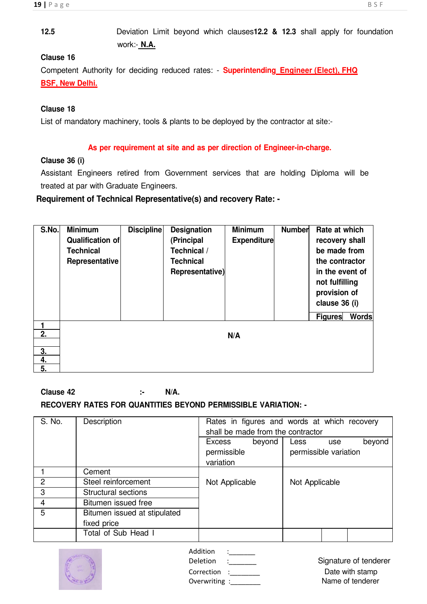#### **Clause 16**

Competent Authority for deciding reduced rates: - **Superintending Engineer (Elect), FHQ BSF, New Delhi.**

#### **Clause 18**

List of mandatory machinery, tools & plants to be deployed by the contractor at site:-

#### **As per requirement at site and as per direction of Engineer-in-charge.**

#### **Clause 36 (i)**

Assistant Engineers retired from Government services that are holding Diploma will be treated at par with Graduate Engineers.

**Requirement of Technical Representative(s) and recovery Rate: -**

| S.No. | <b>Minimum</b><br><b>Qualification of</b><br><b>Technical</b><br>Representative | <b>Discipline</b> | <b>Designation</b><br>(Principal<br>Technical /<br><b>Technical</b><br>Representative) | <b>Minimum</b><br><b>Expenditure</b> | <b>Number</b> | Rate at which<br>recovery shall<br>be made from<br>the contractor<br>in the event of<br>not fulfilling |
|-------|---------------------------------------------------------------------------------|-------------------|----------------------------------------------------------------------------------------|--------------------------------------|---------------|--------------------------------------------------------------------------------------------------------|
|       |                                                                                 |                   |                                                                                        |                                      |               | provision of<br>clause 36 (i)                                                                          |
|       |                                                                                 |                   |                                                                                        |                                      |               | <b>Words</b><br><b>Figures</b>                                                                         |
|       |                                                                                 |                   |                                                                                        |                                      |               |                                                                                                        |
| 2.    |                                                                                 |                   |                                                                                        | N/A                                  |               |                                                                                                        |
|       |                                                                                 |                   |                                                                                        |                                      |               |                                                                                                        |
| 3.    |                                                                                 |                   |                                                                                        |                                      |               |                                                                                                        |
| 4.    |                                                                                 |                   |                                                                                        |                                      |               |                                                                                                        |
| 5.    |                                                                                 |                   |                                                                                        |                                      |               |                                                                                                        |

### **Clause 42 :- N/A.**

### **RECOVERY RATES FOR QUANTITIES BEYOND PERMISSIBLE VARIATION: -**

| S. No.         | Description                  | shall be made from the contractor | Rates in figures and words at which recovery |
|----------------|------------------------------|-----------------------------------|----------------------------------------------|
|                |                              | beyond<br><b>Excess</b>           | beyond<br>Less<br>use                        |
|                |                              | permissible                       | permissible variation                        |
|                |                              | variation                         |                                              |
|                | Cement                       |                                   |                                              |
| $\overline{2}$ | Steel reinforcement          | Not Applicable                    | Not Applicable                               |
| 3              | Structural sections          |                                   |                                              |
| 4              | Bitumen issued free          |                                   |                                              |
| 5              | Bitumen issued at stipulated |                                   |                                              |
|                | fixed price                  |                                   |                                              |
|                | Total of Sub Head I          |                                   |                                              |

| Addition<br>$\bullet$<br><b>Deletion</b><br>٠ | Signature of tenderer               |
|-----------------------------------------------|-------------------------------------|
| Correction<br>Overwriting :                   | Date with stamp<br>Name of tenderer |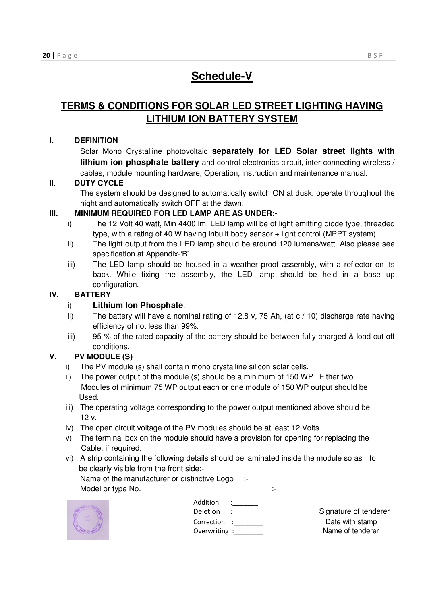### **Schedule-V**

### **TERMS & CONDITIONS FOR SOLAR LED STREET LIGHTING HAVING LITHIUM ION BATTERY SYSTEM**

#### **I. DEFINITION**

Solar Mono Crystalline photovoltaic **separately for LED Solar street lights with lithium ion phosphate battery** and control electronics circuit, inter-connecting wireless / cables, module mounting hardware, Operation, instruction and maintenance manual.

#### II. **DUTY CYCLE**

The system should be designed to automatically switch ON at dusk, operate throughout the night and automatically switch OFF at the dawn.

#### **III. MINIMUM REQUIRED FOR LED LAMP ARE AS UNDER:-**

- i) The 12 Volt 40 watt, Min 4400 lm, LED lamp will be of light emitting diode type, threaded type, with a rating of 40 W having inbuilt body sensor + light control (MPPT system).
- ii) The light output from the LED lamp should be around 120 lumens/watt. Also please see specification at Appendix-'B'.
- iii) The LED lamp should be housed in a weather proof assembly, with a reflector on its back. While fixing the assembly, the LED lamp should be held in a base up configuration.

#### **IV. BATTERY**

#### i) **Lithium Ion Phosphate**.

- ii) The battery will have a nominal rating of 12.8 v, 75 Ah, (at c / 10) discharge rate having efficiency of not less than 99%.
- iii) 95 % of the rated capacity of the battery should be between fully charged & load cut off conditions.

#### **V. PV MODULE (S)**

- i) The PV module (s) shall contain mono crystalline silicon solar cells.
- ii) The power output of the module (s) should be a minimum of 150 WP. Either two Modules of minimum 75 WP output each or one module of 150 WP output should be Used.
- iii) The operating voltage corresponding to the power output mentioned above should be 12 v.
- iv) The open circuit voltage of the PV modules should be at least 12 Volts.
- v) The terminal box on the module should have a provision for opening for replacing the Cable, if required.
- vi) A strip containing the following details should be laminated inside the module so as to be clearly visible from the front side:-

Name of the manufacturer or distinctive Logo :-Model or type No.  $\qquad \qquad :$ 



| Addition    |  |
|-------------|--|
| Deletion    |  |
| Correction  |  |
| Overwriting |  |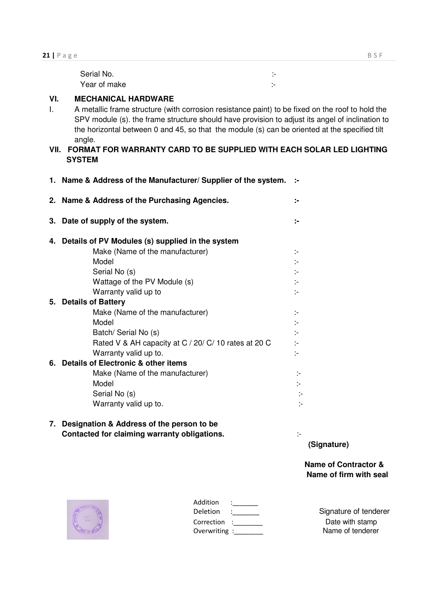| Serial No.   | .<br>. |
|--------------|--------|
| Year of make | -      |

**1. Name & Address of the Manufacturer/ Supplier of the system. :-** 

#### **VI. MECHANICAL HARDWARE**

- I. A metallic frame structure (with corrosion resistance paint) to be fixed on the roof to hold the SPV module (s). the frame structure should have provision to adjust its angel of inclination to the horizontal between 0 and 45, so that the module (s) can be oriented at the specified tilt angle.
- **VII. FORMAT FOR WARRANTY CARD TO BE SUPPLIED WITH EACH SOLAR LED LIGHTING SYSTEM**

|    | 2. Name & Address of the Purchasing Agencies.        | ÷.                          |
|----|------------------------------------------------------|-----------------------------|
| 3. | Date of supply of the system.                        | ÷                           |
| 4. | Details of PV Modules (s) supplied in the system     |                             |
|    | Make (Name of the manufacturer)                      | $\mathcal{C}^{\mathcal{C}}$ |
|    | Model                                                | $\overline{\phantom{a}}$    |
|    | Serial No (s)                                        | $\mathcal{L}$               |
|    | Wattage of the PV Module (s)                         | ÷,                          |
|    | Warranty valid up to                                 | ÷.                          |
|    | 5. Details of Battery                                |                             |
|    | Make (Name of the manufacturer)                      | ÷,                          |
|    | Model                                                | ÷.                          |
|    | Batch/ Serial No (s)                                 | $\mathbb{R}^2$              |
|    | Rated V & AH capacity at C / 20/ C/ 10 rates at 20 C | $\mathcal{L}$               |
|    | Warranty valid up to.                                | t÷.                         |
|    | 6. Details of Electronic & other items               |                             |
|    | Make (Name of the manufacturer)                      |                             |
|    | Model                                                | ÷.                          |
|    | Serial No (s)                                        |                             |
|    | Warranty valid up to.                                |                             |
|    |                                                      |                             |

#### **7. Designation & Address of the person to be Contacted for claiming warranty obligations.** :-

**(Signature)** 

**Name of Contractor & Name of firm with seal** 



| Addition    |  |
|-------------|--|
| Deletion    |  |
| Correction  |  |
| Overwriting |  |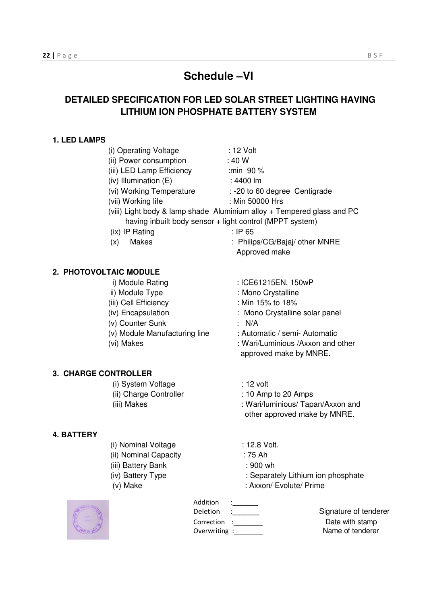### **Schedule –VI**

### **DETAILED SPECIFICATION FOR LED SOLAR STREET LIGHTING HAVING LITHIUM ION PHOSPHATE BATTERY SYSTEM**

#### **1. LED LAMPS**

| (i) Operating Voltage          | : 12 Volt                                                              |
|--------------------------------|------------------------------------------------------------------------|
| (ii) Power consumption         | : 40 W                                                                 |
| (iii) LED Lamp Efficiency      | :min 90 %                                                              |
| (iv) Illumination (E)          | : 4400 lm                                                              |
| (vi) Working Temperature       | : - 20 to 60 degree Centigrade                                         |
| (vii) Working life             | : Min 50000 Hrs                                                        |
|                                | (viii) Light body & lamp shade Aluminium alloy + Tempered glass and PC |
|                                | having inbuilt body sensor + light control (MPPT system)               |
| (ix) IP Rating                 | $:$ IP 65                                                              |
| <b>Makes</b><br>(x)            | : Philips/CG/Bajaj/ other MNRE                                         |
|                                | Approved make                                                          |
| 2. PHOTOVOLTAIC MODULE         |                                                                        |
| i) Module Rating               | : ICE61215EN, 150wP                                                    |
| ii) Module Type                | : Mono Crystalline                                                     |
| (iii) Cell Efficiency          | : Min 15% to 18%                                                       |
| (iv) Encapsulation             | : Mono Crystalline solar panel                                         |
| (v) Counter Sunk               | N/A                                                                    |
| (v) Module Manufacturing line  | : Automatic / semi- Automatic                                          |
| (vi) Makes                     | : Wari/Luminious /Axxon and other                                      |
|                                | approved make by MNRE.                                                 |
| <b>3. CHARGE CONTROLLER</b>    |                                                                        |
| (i) System Voltage             | : 12 volt                                                              |
| (ii) Charge Controller         | : 10 Amp to 20 Amps                                                    |
| (iii) Makes                    | : Wari/luminious/ Tapan/Axxon and                                      |
|                                | other approved make by MNRE.                                           |
| <b>4. BATTERY</b>              |                                                                        |
| (i) Nominal Voltage            | : 12.8 Volt.                                                           |
| (ii) Nominal Capacity          | $:75$ Ah                                                               |
| (iii) Battery Bank             | : 900 wh                                                               |
| (iv) Battery Type              | : Separately Lithium ion phosphate                                     |
| (v) Make                       | : Axxon/ Evolute/ Prime                                                |
| Addition<br><b>CARLIS HOWA</b> |                                                                        |
|                                | $\sim$ $\sim$                                                          |



| Addition    |  |
|-------------|--|
| Deletion    |  |
| Correction  |  |
| Overwriting |  |
|             |  |

Signature of tenderer Correction in the U.S. Correction in the U.S. Correction in the U.S. Correction in the U.S. Correction in the<br>Correction of the U.S. Correction in the U.S. Correction in the U.S. Correction in the U.S. Correction in the<br>Co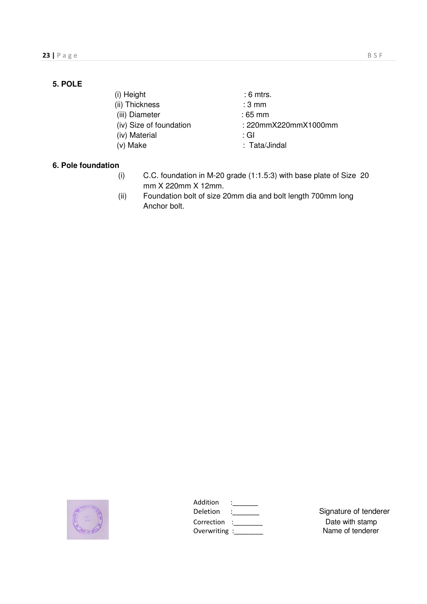#### **5. POLE**

(ii) Thickness : 3 mm

(iii) Diameter : 65 mm

- (iv) Size of foundation : 220mmX220mmX1000mm
- (iv) Material : GI
- 

(i) Height : 6 mtrs.

- -
- 
- (v) Make : Tata/Jindal

#### **6. Pole foundation**

- (i) C.C. foundation in M-20 grade (1:1.5:3) with base plate of Size 20 mm X 220mm X 12mm.
- (ii) Foundation bolt of size 20mm dia and bolt length 700mm long Anchor bolt.



| Addition     |  |
|--------------|--|
| Deletion     |  |
| Correction   |  |
| Overwriting: |  |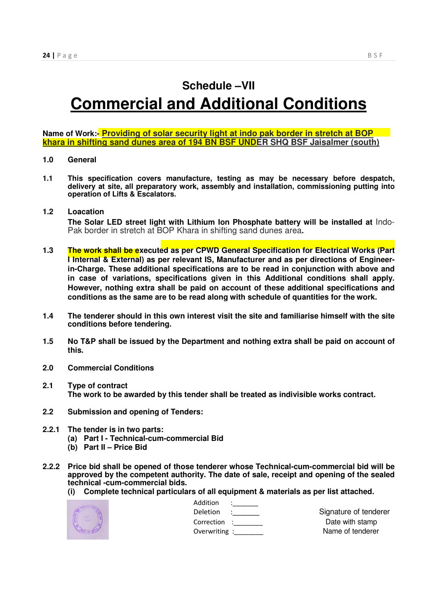### **Schedule –VII**

# **Commercial and Additional Conditions**

**Name of Work:- Providing of solar security light at indo pak border in stretch at BOP khara in shifting sand dunes area of 194 BN BSF UNDER SHQ BSF Jaisalmer (south)** 

#### **1.0 General**

**1.1 This specification covers manufacture, testing as may be necessary before despatch, delivery at site, all preparatory work, assembly and installation, commissioning putting into operation of Lifts & Escalators.** 

#### **1.2 Loacation**

**The Solar LED street light with Lithium Ion Phosphate battery will be installed at** Indo-Pak border in stretch at BOP Khara in shifting sand dunes area**.** 

- **1.3 The work shall be executed as per CPWD General Specification for Electrical Works (Part I Internal & External) as per relevant IS, Manufacturer and as per directions of Engineerin-Charge. These additional specifications are to be read in conjunction with above and in case of variations, specifications given in this Additional conditions shall apply. However, nothing extra shall be paid on account of these additional specifications and conditions as the same are to be read along with schedule of quantities for the work.**
- **1.4 The tenderer should in this own interest visit the site and familiarise himself with the site conditions before tendering.**
- **1.5 No T&P shall be issued by the Department and nothing extra shall be paid on account of this.**
- **2.0 Commercial Conditions**
- **2.1 Type of contract The work to be awarded by this tender shall be treated as indivisible works contract.**
- **2.2 Submission and opening of Tenders:**
- **2.2.1 The tender is in two parts:** 
	- **(a) Part I Technical-cum-commercial Bid**
	- **(b) Part II Price Bid**
- **2.2.2 Price bid shall be opened of those tenderer whose Technical-cum-commercial bid will be approved by the competent authority. The date of sale, receipt and opening of the sealed technical -cum-commercial bids.** 
	- **(i) Complete technical particulars of all equipment & materials as per list attached.**



| .           | . |
|-------------|---|
| Addition    |   |
| Deletion    |   |
| Correction  |   |
| Overwriting |   |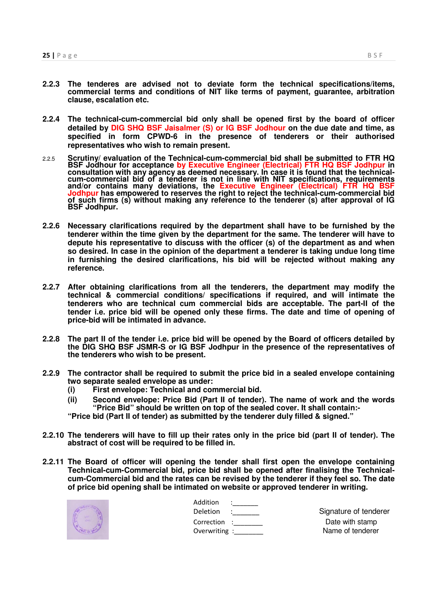- **2.2.3 The tenderes are advised not to deviate form the technical specifications/items, commercial terms and conditions of NIT like terms of payment, guarantee, arbitration clause, escalation etc.**
- **2.2.4 The technical-cum-commercial bid only shall be opened first by the board of officer detailed by DIG SHQ BSF Jaisalmer (S) or IG BSF Jodhour on the due date and time, as specified in form CPWD-6 in the presence of tenderers or their authorised representatives who wish to remain present.**
- 2.2.5 **Scrutiny/ evaluation of the Technical-cum-commercial bid shall be submitted to FTR HQ BSF Jodhour for acceptance by Executive Engineer (Electrical) FTR HQ BSF Jodhpur in consultation with any agency as deemed necessary. In case it is found that the technicalcum-commercial bid of a tenderer is not in line with NIT specifications, requirements and/or contains many deviations, the Executive Engineer (Electrical) FTR HQ BSF Jodhpur has empowered to reserves the right to reject the technical-cum-commercial bid of such firms (s) without making any reference to the tenderer (s) after approval of IG BSF Jodhpur.**
- **2.2.6 Necessary clarifications required by the department shall have to be furnished by the tenderer within the time given by the department for the same. The tenderer will have to depute his representative to discuss with the officer (s) of the department as and when so desired. In case in the opinion of the department a tenderer is taking undue long time in furnishing the desired clarifications, his bid will be rejected without making any reference.**
- **2.2.7 After obtaining clarifications from all the tenderers, the department may modify the technical & commercial conditions/ specifications if required, and will intimate the tenderers who are technical cum commercial bids are acceptable. The part-II of the tender i.e. price bid will be opened only these firms. The date and time of opening of price-bid will be intimated in advance.**
- **2.2.8 The part II of the tender i.e. price bid will be opened by the Board of officers detailed by the DIG SHQ BSF JSMR-S or IG BSF Jodhpur in the presence of the representatives of the tenderers who wish to be present.**
- **2.2.9 The contractor shall be required to submit the price bid in a sealed envelope containing two separate sealed envelope as under:** 
	- **(i) First envelope: Technical and commercial bid.**
	- **(ii) Second envelope: Price Bid (Part II of tender). The name of work and the words**  "Price Bid" should be written on top of the sealed cover. It shall contain:-
	- **"Price bid (Part II of tender) as submitted by the tenderer duly filled & signed."**
- **2.2.10 The tenderers will have to fill up their rates only in the price bid (part II of tender). The abstract of cost will be required to be filled in.**
- **2.2.11 The Board of officer will opening the tender shall first open the envelope containing Technical-cum-Commercial bid, price bid shall be opened after finalising the Technicalcum-Commercial bid and the rates can be revised by the tenderer if they feel so. The date of price bid opening shall be intimated on website or approved tenderer in writing.**



| Addition        |               |                       |
|-----------------|---------------|-----------------------|
| <b>Deletion</b> | $\sim$ $\sim$ | Signature of tenderer |
| Correction :    |               | Date with stamp       |
| Overwriting:    |               | Name of tenderer      |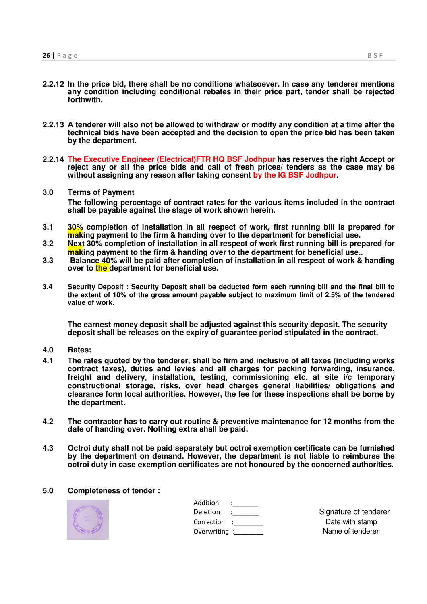- **2.2.12 In the price bid, there shall be no conditions whatsoever. In case any tenderer mentions any condition including conditional rebates in their price part, tender shall be rejected forthwith.**
- **2.2.13 A tenderer will also not be allowed to withdraw or modify any condition at a time after the technical bids have been accepted and the decision to open the price bid has been taken by the department.**
- **2.2.14 The Executive Engineer (Electrical)FTR HQ BSF Jodhpur has reserves the right Accept or reject any or all the price bids and call of fresh prices/ tenders as the case may be without assigning any reason after taking consent by the IG BSF Jodhpur.**
- **3.0 Terms of Payment The following percentage of contract rates for the various items included in the contract shall be payable against the stage of work shown herein.**
- **3.1 30% completion of installation in all respect of work, first running bill is prepared for making payment to the firm & handing over to the department for beneficial use.**
- **3.2 Next 30% completion of installation in all respect of work first running bill is prepared for making payment to the firm & handing over to the department for beneficial use..**
- **3.3 Balance 40% will be paid after completion of installation in all respect of work & handing over to the department for beneficial use.**
- **3.4 Security Deposit : Security Deposit shall be deducted form each running bill and the final bill to the extent of 10% of the gross amount payable subject to maximum limit of 2.5% of the tendered value of work.**

**The earnest money deposit shall be adjusted against this security deposit. The security deposit shall be releases on the expiry of guarantee period stipulated in the contract.**

- **4.0 Rates:**
- **4.1 The rates quoted by the tenderer, shall be firm and inclusive of all taxes (including works contract taxes), duties and levies and all charges for packing forwarding, insurance, freight and delivery, installation, testing, commissioning etc. at site i/c temporary constructional storage, risks, over head charges general liabilities/ obligations and clearance form local authorities. However, the fee for these inspections shall be borne by the department.**
- **4.2 The contractor has to carry out routine & preventive maintenance for 12 months from the date of handing over. Nothing extra shall be paid.**
- **4.3 Octroi duty shall not be paid separately but octroi exemption certificate can be furnished by the department on demand. However, the department is not liable to reimburse the octroi duty in case exemption certificates are not honoured by the concerned authorities.**

#### **5.0 Completeness of tender :**



| Addition     |  |
|--------------|--|
| Deletion     |  |
| Correction   |  |
| Overwriting: |  |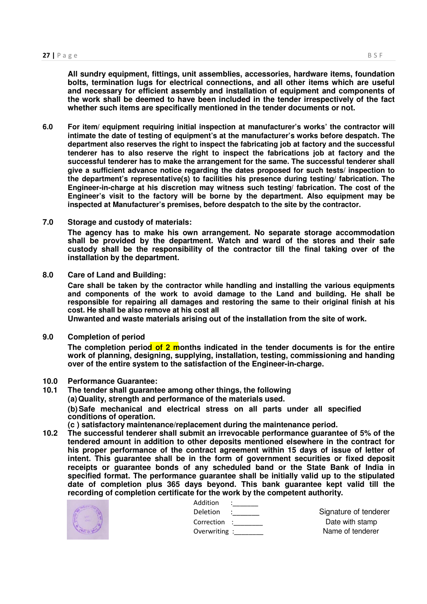**All sundry equipment, fittings, unit assemblies, accessories, hardware items, foundation bolts, termination lugs for electrical connections, and all other items which are useful and necessary for efficient assembly and installation of equipment and components of the work shall be deemed to have been included in the tender irrespectively of the fact whether such items are specifically mentioned in the tender documents or not.** 

- **6.0 For item/ equipment requiring initial inspection at manufacturer's works' the contractor will intimate the date of testing of equipment's at the manufacturer's works before despatch. The department also reserves the right to inspect the fabricating job at factory and the successful tenderer has to also reserve the right to inspect the fabrications job at factory and the successful tenderer has to make the arrangement for the same. The successful tenderer shall give a sufficient advance notice regarding the dates proposed for such tests/ inspection to the department's representative(s) to facilities his presence during testing/ fabrication. The Engineer-in-charge at his discretion may witness such testing/ fabrication. The cost of the Engineer's visit to the factory will be borne by the department. Also equipment may be inspected at Manufacturer's premises, before despatch to the site by the contractor.**
- **7.0 Storage and custody of materials: The agency has to make his own arrangement. No separate storage accommodation shall be provided by the department. Watch and ward of the stores and their safe custody shall be the responsibility of the contractor till the final taking over of the installation by the department.**
- **8.0 Care of Land and Building:**

**Care shall be taken by the contractor while handling and installing the various equipments and components of the work to avoid damage to the Land and building. He shall be responsible for repairing all damages and restoring the same to their original finish at his cost. He shall be also remove at his cost all** 

**Unwanted and waste materials arising out of the installation from the site of work.** 

**9.0 Completion of period** 

**The completion period of 2 months indicated in the tender documents is for the entire work of planning, designing, supplying, installation, testing, commissioning and handing over of the entire system to the satisfaction of the Engineer-in-charge.** 

- **10.0 Performance Guarantee:**
- **10.1 The tender shall guarantee among other things, the following (a) Quality, strength and performance of the materials used. (b) Safe mechanical and electrical stress on all parts under all specified conditions of operation. (c ) satisfactory maintenance/replacement during the maintenance period.**
- **10.2 The successful tenderer shall submit an irrevocable performance guarantee of 5% of the tendered amount in addition to other deposits mentioned elsewhere in the contract for his proper performance of the contract agreement within 15 days of issue of letter of intent. This guarantee shall be in the form of government securities or fixed deposit receipts or guarantee bonds of any scheduled band or the State Bank of India in specified format. The performance guarantee shall be initially valid up to the stipulated date of completion plus 365 days beyond. This bank guarantee kept valid till the recording of completion certificate for the work by the competent authority.**



| e for the work by the competent authority. |         |                    |
|--------------------------------------------|---------|--------------------|
| Addition                                   |         |                    |
| Deletion                                   | 2.00000 | Signature of tende |
| Correction :                               |         | Date with stamp    |
| Overwriting :                              |         | Name of tenderer   |

Deletion : Signature of tenderer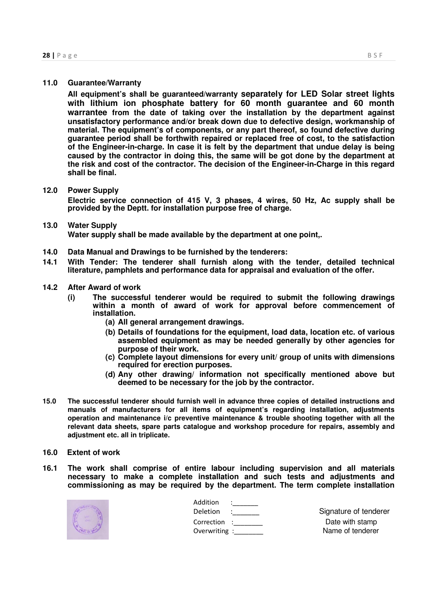#### **11.0 Guarantee/Warranty**

**All equipment's shall be guaranteed/warranty separately for LED Solar street lights with lithium ion phosphate battery for 60 month guarantee and 60 month warrantee from the date of taking over the installation by the department against unsatisfactory performance and/or break down due to defective design, workmanship of material. The equipment's of components, or any part thereof, so found defective during guarantee period shall be forthwith repaired or replaced free of cost, to the satisfaction of the Engineer-in-charge. In case it is felt by the department that undue delay is being caused by the contractor in doing this, the same will be got done by the department at the risk and cost of the contractor. The decision of the Engineer-in-Charge in this regard shall be final.** 

#### **12.0 Power Supply**

**Electric service connection of 415 V, 3 phases, 4 wires, 50 Hz, Ac supply shall be provided by the Deptt. for installation purpose free of charge.** 

#### **13.0 Water Supply Water supply shall be made available by the department at one point,.**

- **14.0 Data Manual and Drawings to be furnished by the tenderers:**
- **14.1 With Tender: The tenderer shall furnish along with the tender, detailed technical literature, pamphlets and performance data for appraisal and evaluation of the offer.**
- **14.2 After Award of work** 
	- **(i) The successful tenderer would be required to submit the following drawings within a month of award of work for approval before commencement of installation.** 
		- **(a) All general arrangement drawings.**
		- **(b) Details of foundations for the equipment, load data, location etc. of various assembled equipment as may be needed generally by other agencies for purpose of their work.**
		- **(c) Complete layout dimensions for every unit/ group of units with dimensions required for erection purposes.**
		- **(d) Any other drawing/ information not specifically mentioned above but deemed to be necessary for the job by the contractor.**
- **15.0 The successful tenderer should furnish well in advance three copies of detailed instructions and manuals of manufacturers for all items of equipment's regarding installation, adjustments operation and maintenance i/c preventive maintenance & trouble shooting together with all the relevant data sheets, spare parts catalogue and workshop procedure for repairs, assembly and adjustment etc. all in triplicate.**
- **16.0 Extent of work**
- **16.1 The work shall comprise of entire labour including supervision and all materials necessary to make a complete installation and such tests and adjustments and commissioning as may be required by the department. The term complete installation**



| Addition     |                   |                       |
|--------------|-------------------|-----------------------|
| Deletion     | <b>STATISTICS</b> | Signature of tenderer |
| Correction : |                   | Date with stamp       |
| Overwriting: |                   | Name of tenderer      |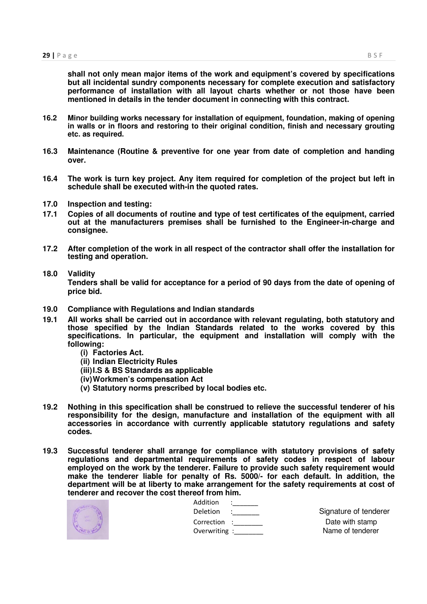**shall not only mean major items of the work and equipment's covered by specifications but all incidental sundry components necessary for complete execution and satisfactory performance of installation with all layout charts whether or not those have been mentioned in details in the tender document in connecting with this contract.** 

- **16.2 Minor building works necessary for installation of equipment, foundation, making of opening in walls or in floors and restoring to their original condition, finish and necessary grouting etc. as required.**
- **16.3 Maintenance (Routine & preventive for one year from date of completion and handing over.**
- **16.4 The work is turn key project. Any item required for completion of the project but left in schedule shall be executed with-in the quoted rates.**
- **17.0 Inspection and testing:**
- **17.1 Copies of all documents of routine and type of test certificates of the equipment, carried out at the manufacturers premises shall be furnished to the Engineer-in-charge and consignee.**
- **17.2 After completion of the work in all respect of the contractor shall offer the installation for testing and operation.**

#### **18.0 Validity**

**Tenders shall be valid for acceptance for a period of 90 days from the date of opening of price bid.** 

- **19.0 Compliance with Regulations and Indian standards**
- **19.1 All works shall be carried out in accordance with relevant regulating, both statutory and those specified by the Indian Standards related to the works covered by this specifications. In particular, the equipment and installation will comply with the following:** 
	- **(i) Factories Act.**
	- **(ii) Indian Electricity Rules**
	- **(iii) I.S & BS Standards as applicable**
	- **(iv) Workmen's compensation Act**
	- **(v) Statutory norms prescribed by local bodies etc.**
- **19.2 Nothing in this specification shall be construed to relieve the successful tenderer of his responsibility for the design, manufacture and installation of the equipment with all accessories in accordance with currently applicable statutory regulations and safety codes.**
- **19.3 Successful tenderer shall arrange for compliance with statutory provisions of safety regulations and departmental requirements of safety codes in respect of labour employed on the work by the tenderer. Failure to provide such safety requirement would make the tenderer liable for penalty of Rs. 5000/- for each default. In addition, the department will be at liberty to make arrangement for the safety requirements at cost of tenderer and recover the cost thereof from him.**



| cui iluiil Illiii. |                               |                       |
|--------------------|-------------------------------|-----------------------|
| Addition           | <u>in the second property</u> |                       |
| Deletion :         |                               | Signature of tenderer |
| Correction :       |                               | Date with stamp       |
|                    | Overwriting :                 | Name of tenderer      |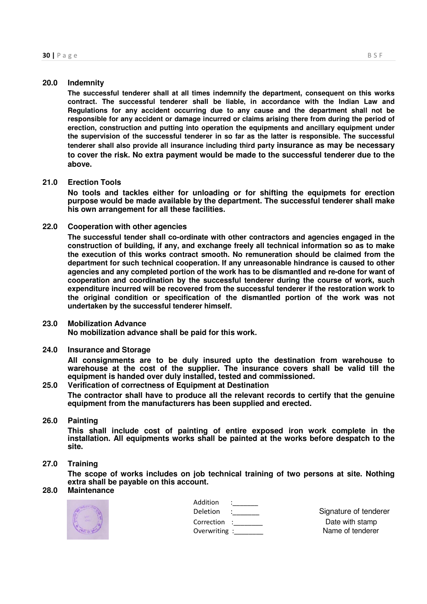#### **20.0 Indemnity**

**The successful tenderer shall at all times indemnify the department, consequent on this works contract. The successful tenderer shall be liable, in accordance with the Indian Law and Regulations for any accident occurring due to any cause and the department shall not be responsible for any accident or damage incurred or claims arising there from during the period of erection, construction and putting into operation the equipments and ancillary equipment under the supervision of the successful tenderer in so far as the latter is responsible. The successful tenderer shall also provide all insurance including third party insurance as may be necessary to cover the risk. No extra payment would be made to the successful tenderer due to the above.**

#### **21.0 Erection Tools**

**No tools and tackles either for unloading or for shifting the equipmets for erection purpose would be made available by the department. The successful tenderer shall make his own arrangement for all these facilities.** 

#### **22.0 Cooperation with other agencies**

**The successful tender shall co-ordinate with other contractors and agencies engaged in the construction of building, if any, and exchange freely all technical information so as to make the execution of this works contract smooth. No remuneration should be claimed from the department for such technical cooperation. If any unreasonable hindrance is caused to other agencies and any completed portion of the work has to be dismantled and re-done for want of cooperation and coordination by the successful tenderer during the course of work, such expenditure incurred will be recovered from the successful tenderer if the restoration work to the original condition or specification of the dismantled portion of the work was not undertaken by the successful tenderer himself.** 

#### **23.0 Mobilization Advance**

**No mobilization advance shall be paid for this work.** 

#### **24.0 Insurance and Storage**

**All consignments are to be duly insured upto the destination from warehouse to warehouse at the cost of the supplier. The insurance covers shall be valid till the equipment is handed over duly installed, tested and commissioned.** 

#### **25.0 Verification of correctness of Equipment at Destination**

**The contractor shall have to produce all the relevant records to certify that the genuine equipment from the manufacturers has been supplied and erected.** 

#### **26.0 Painting**

**This shall include cost of painting of entire exposed iron work complete in the installation. All equipments works shall be painted at the works before despatch to the site.** 

#### **27.0 Training**

**The scope of works includes on job technical training of two persons at site. Nothing extra shall be payable on this account.** 

#### **28.0 Maintenance**



| Addition      |  |
|---------------|--|
| Deletion      |  |
| Correction    |  |
| Overwriting : |  |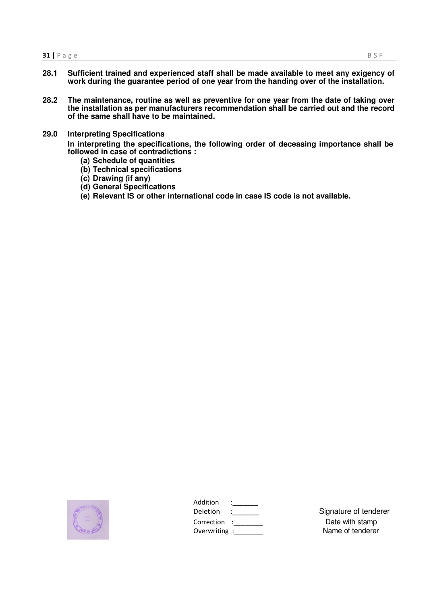- **28.1 Sufficient trained and experienced staff shall be made available to meet any exigency of work during the guarantee period of one year from the handing over of the installation.**
- **28.2 The maintenance, routine as well as preventive for one year from the date of taking over the installation as per manufacturers recommendation shall be carried out and the record of the same shall have to be maintained.**
- **29.0 Interpreting Specifications**

**In interpreting the specifications, the following order of deceasing importance shall be followed in case of contradictions :** 

- **(a) Schedule of quantities**
- **(b) Technical specifications**
- **(c) Drawing (if any)**
- **(d) General Specifications**
- **(e) Relevant IS or other international code in case IS code is not available.**



| Addition      |  |
|---------------|--|
| Deletion      |  |
| Correction    |  |
| Overwriting : |  |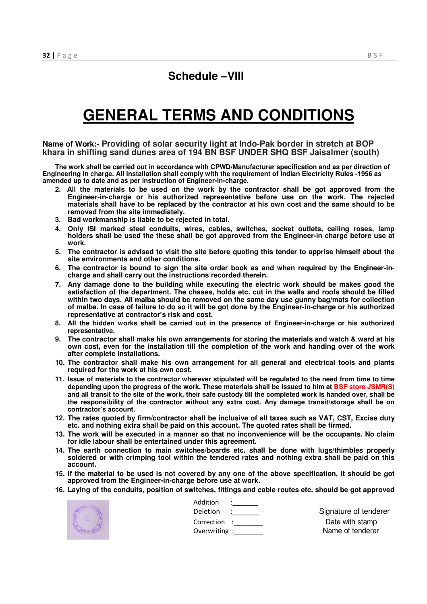### **Schedule –VIII**

# **GENERAL TERMS AND CONDITIONS**

**Name of Work:- Providing of solar security light at Indo-Pak border in stretch at BOP khara in shifting sand dunes area of 194 BN BSF UNDER SHQ BSF Jaisalmer (south)** 

**The work shall be carried out in accordance with CPWD/Manufacturer specification and as per direction of Engineering In charge. All installation shall comply with the requirement of Indian Electricity Rules -1956 as amended up to date and as per instruction of Engineer-in-charge.** 

- **2. All the materials to be used on the work by the contractor shall be got approved from the Engineer-in-charge or his authorized representative before use on the work. The rejected materials shall have to be replaced by the contractor at his own cost and the same should to be removed from the site immediately.**
- **3. Bad workmanship is liable to be rejected in total.**
- **4. Only ISI marked steel conduits, wires, cables, switches, socket outlets, ceiling roses, lamp holders shall be used the these shall be got approved from the Engineer-in charge before use at work.**
- **5. The contractor is advised to visit the site before quoting this tender to apprise himself about the site environments and other conditions.**
- **6. The contractor is bound to sign the site order book as and when required by the Engineer-incharge and shall carry out the instructions recorded therein.**
- **7. Any damage done to the building while executing the electric work should be makes good the satisfaction of the department. The chases, holds etc. cut in the walls and roofs should be filled within two days. All malba should be removed on the same day use gunny bag/mats for collection of malba. In case of failure to do so it will be got done by the Engineer-in-charge or his authorized representative at contractor's risk and cost.**
- **8. All the hidden works shall be carried out in the presence of Engineer-in-charge or his authorized representative.**
- **9. The contractor shall make his own arrangements for storing the materials and watch & ward at his own cost, even for the installation till the completion of the work and handing over of the work after complete installations.**
- **10. The contractor shall make his own arrangement for all general and electrical tools and plants required for the work at his own cost.**
- **11. Issue of materials to the contractor wherever stipulated will be regulated to the need from time to time depending upon the progress of the work. These materials shall be issued to him at BSF store JSMR(S) and all transit to the site of the work, their safe custody till the completed work is handed over, shall be the responsibility of the contractor without any extra cost. Any damage transit/storage shall be on contractor's account.**
- **12. The rates quoted by firm/contractor shall be inclusive of all taxes such as VAT, CST, Excise duty etc. and nothing extra shall be paid on this account. The quoted rates shall be firmed.**
- **13. The work will be executed in a manner so that no inconvenience will be the occupants. No claim for idle labour shall be entertained under this agreement.**
- **14. The earth connection to main switches/boards etc. shall be done with lugs/thimbles properly soldered or with crimping tool within the tendered rates and nothing extra shall be paid on this account.**
- **15. If the material to be used is not covered by any one of the above specification, it should be got approved from the Engineer-in-charge before use at work.**
- **16. Laying of the conduits, position of switches, fittings and cable routes etc. should be got approved**



| Addition     |                    |
|--------------|--------------------|
| Deletion     | Signature of tende |
| Correction : | Date with stamp    |
| Overwriting: | Name of tenderer   |

Deletion : Signature of tenderer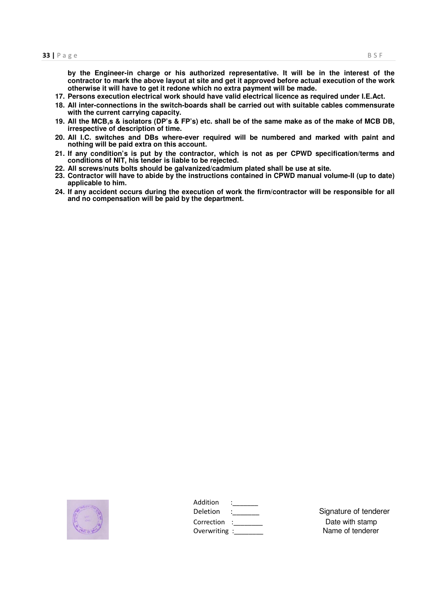**by the Engineer-in charge or his authorized representative. It will be in the interest of the contractor to mark the above layout at site and get it approved before actual execution of the work otherwise it will have to get it redone which no extra payment will be made.** 

- **17. Persons execution electrical work should have valid electrical licence as required under I.E.Act.**
- **18. All inter-connections in the switch-boards shall be carried out with suitable cables commensurate with the current carrying capacity.**
- **19. All the MCB,s & isolators (DP's & FP's) etc. shall be of the same make as of the make of MCB DB, irrespective of description of time.**
- **20. All I.C. switches and DBs where-ever required will be numbered and marked with paint and nothing will be paid extra on this account.**
- **21. If any condition's is put by the contractor, which is not as per CPWD specification/terms and conditions of NIT, his tender is liable to be rejected.**
- **22. All screws/nuts bolts should be galvanized/cadmium plated shall be use at site.**
- **23. Contractor will have to abide by the instructions contained in CPWD manual volume-II (up to date) applicable to him.**
- **24. If any accident occurs during the execution of work the firm/contractor will be responsible for all and no compensation will be paid by the department.**



| Addition        |                       |
|-----------------|-----------------------|
| <b>Deletion</b> | Signature of tenderer |
| Correction :    | Date with stamp       |
| Overwriting:    | Name of tenderer      |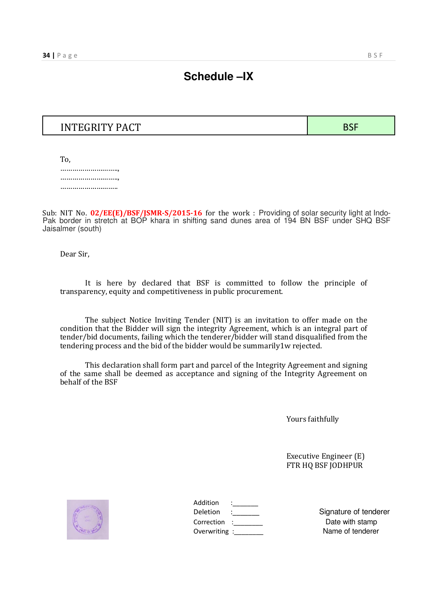### **Schedule –IX**

### INTEGRITY PACT BSF

To, …………………………, ……………………….., ……………………………

Sub: NIT No. **02/EE(E)/BSF/JSMR-S/2015-16** for the work : Providing of solar security light at Indo-Pak border in stretch at BOP khara in shifting sand dunes area of 194 BN BSF under SHQ BSF Jaisalmer (south)

Dear Sir,

It is here by declared that BSF is committed to follow the principle of transparency, equity and competitiveness in public procurement.

The subject Notice Inviting Tender (NIT) is an invitation to offer made on the condition that the Bidder will sign the integrity Agreement, which is an integral part of tender/bid documents, failing which the tenderer/bidder will stand disqualified from the tendering process and the bid of the bidder would be summarily1w rejected.

This declaration shall form part and parcel of the Integrity Agreement and signing of the same shall be deemed as acceptance and signing of the Integrity Agreement on behalf of the BSF

Yours faithfully

Executive Engineer (E) FTR HQ BSF JODHPUR



| Addition      |  |
|---------------|--|
| Deletion      |  |
| Correction    |  |
| Overwriting : |  |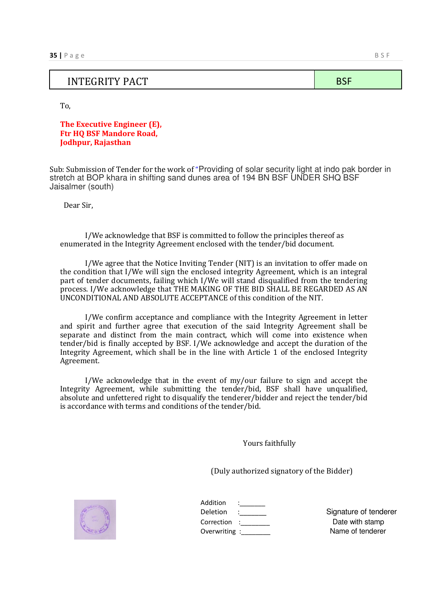#### INTEGRITY PACT SERVICES IN THE BSF

To,

**The Executive Engineer (E), Ftr HQ BSF Mandore Road, Jodhpur, Rajasthan**

Sub: Submission of Tender for the work of "Providing of solar security light at indo pak border in stretch at BOP khara in shifting sand dunes area of 194 BN BSF UNDER SHQ BSF Jaisalmer (south)

Dear Sir,

I/We acknowledge that BSF is committed to follow the principles thereof as enumerated in the Integrity Agreement enclosed with the tender/bid document.

I/We agree that the Notice Inviting Tender (NIT) is an invitation to offer made on the condition that I/We will sign the enclosed integrity Agreement, which is an integral part of tender documents, failing which I/We will stand disqualified from the tendering process. I/We acknowledge that THE MAKING OF THE BID SHALL BE REGARDED AS AN UNCONDITIONAL AND ABSOLUTE ACCEPTANCE of this condition of the NIT.

I/We confirm acceptance and compliance with the Integrity Agreement in letter and spirit and further agree that execution of the said Integrity Agreement shall be separate and distinct from the main contract, which will come into existence when tender/bid is finally accepted by BSF. I/We acknowledge and accept the duration of the Integrity Agreement, which shall be in the line with Article 1 of the enclosed Integrity Agreement.

I/We acknowledge that in the event of my/our failure to sign and accept the Integrity Agreement, while submitting the tender/bid, BSF shall have unqualified, absolute and unfettered right to disqualify the tenderer/bidder and reject the tender/bid is accordance with terms and conditions of the tender/bid.

Yours faithfully

(Duly authorized signatory of the Bidder)



| Addition      |  |
|---------------|--|
| Deletion      |  |
| Correction    |  |
| Overwriting : |  |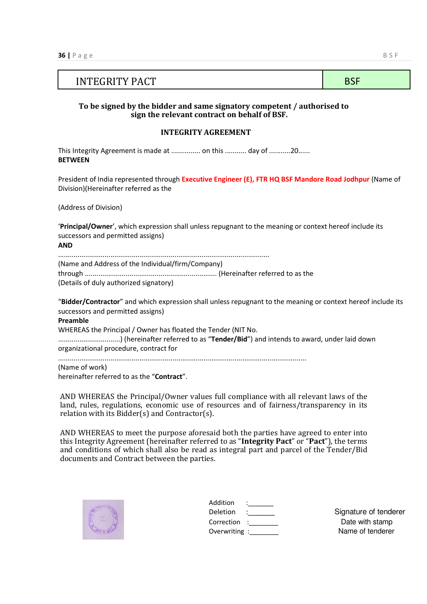### INTEGRITY PACT BSF

#### **To be signed by the bidder and same signatory competent / authorised to sign the relevant contract on behalf of BSF.**

#### **INTEGRITY AGREEMENT**

This Integrity Agreement is made at ................ on this ............ day of ...........20...... **BETWEEN**

President of India represented through **Executive Engineer (E), FTR HQ BSF Mandore Road Jodhpur** (Name of Division)(Hereinafter referred as the

(Address of Division)

'**Principal/Owner**', which expression shall unless repugnant to the meaning or context hereof include its successors and permitted assigns)

**AND**

............................................................................................................. (Name and Address of the Individual/firm/Company) through .................................................................... (Hereinafter referred to as the (Details of duly authorized signatory)

"**Bidder/Contractor**" and which expression shall unless repugnant to the meaning or context hereof include its successors and permitted assigns)

**Preamble** WHEREAS the Principal / Owner has floated the Tender (NIT No. ................................) (hereinafter referred to as "**Tender/Bid**") and intends to award, under laid down organizational procedure, contract for ................................................................................................................................

(Name of work) hereinafter referred to as the "**Contract**".

AND WHEREAS the Principal/Owner values full compliance with all relevant laws of the land, rules, regulations, economic use of resources and of fairness/transparency in its relation with its Bidder(s) and Contractor(s).

AND WHEREAS to meet the purpose aforesaid both the parties have agreed to enter into this Integrity Agreement (hereinafter referred to as "**Integrity Pact**" or "**Pact**"), the terms and conditions of which shall also be read as integral part and parcel of the Tender/Bid documents and Contract between the parties.



| Addition     |  |
|--------------|--|
| Deletion     |  |
| Correction   |  |
| Overwriting: |  |
|              |  |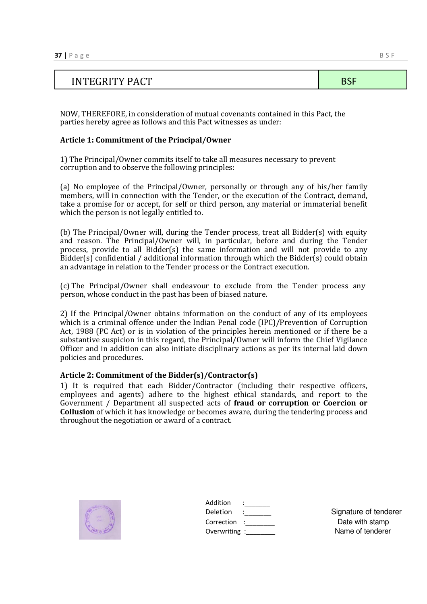## INTEGRITY PACT SERVICES IN THE SERVICE SERVICE SERVICES IN THE BSF

NOW, THEREFORE, in consideration of mutual covenants contained in this Pact, the parties hereby agree as follows and this Pact witnesses as under:

#### **Article 1: Commitment of the Principal/Owner**

1) The Principal/Owner commits itself to take all measures necessary to prevent corruption and to observe the following principles:

(a) No employee of the Principal/Owner, personally or through any of his/her family members, will in connection with the Tender, or the execution of the Contract, demand, take a promise for or accept, for self or third person, any material or immaterial benefit which the person is not legally entitled to.

(b) The Principal/Owner will, during the Tender process, treat all Bidder(s) with equity and reason. The Principal/Owner will, in particular, before and during the Tender process, provide to all Bidder(s) the same information and will not provide to any  $Bidder(s)$  confidential / additional information through which the Bidder(s) could obtain an advantage in relation to the Tender process or the Contract execution.

(c) The Principal/Owner shall endeavour to exclude from the Tender process any person, whose conduct in the past has been of biased nature.

2) If the Principal/Owner obtains information on the conduct of any of its employees which is a criminal offence under the Indian Penal code (IPC)/Prevention of Corruption Act, 1988 (PC Act) or is in violation of the principles herein mentioned or if there be a substantive suspicion in this regard, the Principal/Owner will inform the Chief Vigilance Officer and in addition can also initiate disciplinary actions as per its internal laid down policies and procedures.

#### **Article 2: Commitment of the Bidder(s)/Contractor(s)**

1) It is required that each Bidder/Contractor (including their respective officers, employees and agents) adhere to the highest ethical standards, and report to the Government / Department all suspected acts of **fraud or corruption or Coercion or Collusion** of which it has knowledge or becomes aware, during the tendering process and throughout the negotiation or award of a contract.



| Addition<br>Deletion         | <b>Contractor</b> | Signature of tenderer               |
|------------------------------|-------------------|-------------------------------------|
| Correction :<br>Overwriting: |                   | Date with stamp<br>Name of tenderer |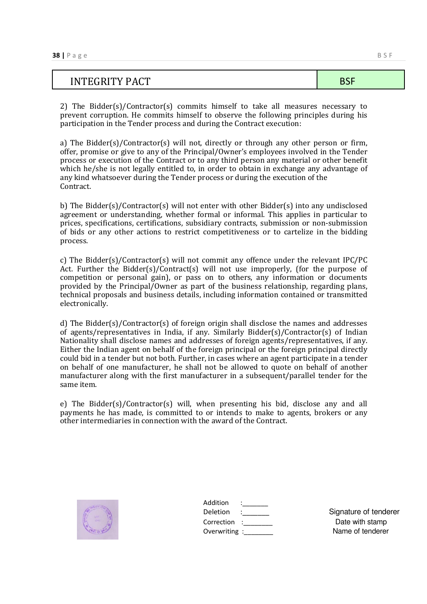| <b>INTEGRITY PACT</b> |  |
|-----------------------|--|

2) The Bidder(s)/Contractor(s) commits himself to take all measures necessary to prevent corruption. He commits himself to observe the following principles during his participation in the Tender process and during the Contract execution:

a) The Bidder(s)/Contractor(s) will not, directly or through any other person or firm, offer, promise or give to any of the Principal/Owner's employees involved in the Tender process or execution of the Contract or to any third person any material or other benefit which he/she is not legally entitled to, in order to obtain in exchange any advantage of any kind whatsoever during the Tender process or during the execution of the Contract.

b) The Bidder(s)/Contractor(s) will not enter with other Bidder(s) into any undisclosed agreement or understanding, whether formal or informal. This applies in particular to prices, specifications, certifications, subsidiary contracts, submission or non-submission of bids or any other actions to restrict competitiveness or to cartelize in the bidding process.

c) The Bidder(s)/Contractor(s) will not commit any offence under the relevant IPC/PC Act. Further the Bidder(s)/Contract(s) will not use improperly, (for the purpose of competition or personal gain), or pass on to others, any information or documents provided by the Principal/Owner as part of the business relationship, regarding plans, technical proposals and business details, including information contained or transmitted electronically.

d) The Bidder(s)/Contractor(s) of foreign origin shall disclose the names and addresses of agents/representatives in India, if any. Similarly Bidder(s)/Contractor(s) of Indian Nationality shall disclose names and addresses of foreign agents/representatives, if any. Either the Indian agent on behalf of the foreign principal or the foreign principal directly could bid in a tender but not both. Further, in cases where an agent participate in a tender on behalf of one manufacturer, he shall not be allowed to quote on behalf of another manufacturer along with the first manufacturer in a subsequent/parallel tender for the same item.

e) The Bidder(s)/Contractor(s) will, when presenting his bid, disclose any and all payments he has made, is committed to or intends to make to agents, brokers or any other intermediaries in connection with the award of the Contract.



| Addition      |  |
|---------------|--|
| Deletion      |  |
| Correction    |  |
| Overwriting : |  |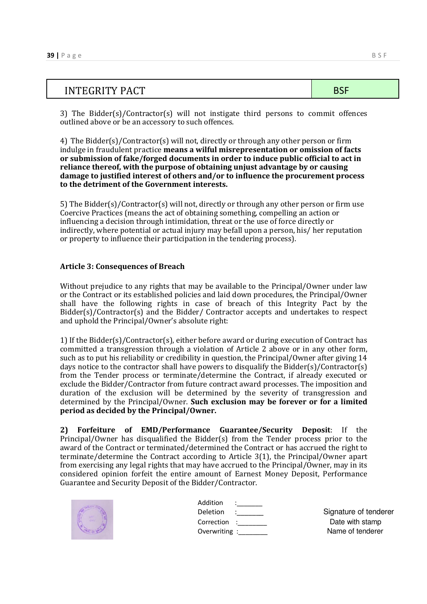| <b>INTEGRITY PACT</b> | ., |
|-----------------------|----|
|                       |    |

3) The Bidder(s)/Contractor(s) will not instigate third persons to commit offences outlined above or be an accessory to such offences.

#### 4) The Bidder(s)/Contractor(s) will not, directly or through any other person or firm indulge in fraudulent practice **means a wilful misrepresentation or omission of facts or submission of fake/forged documents in order to induce public official to act in reliance thereof, with the purpose of obtaining unjust advantage by or causing damage to justified interest of others and/or to influence the procurement process to the detriment of the Government interests.**

5) The Bidder(s)/Contractor(s) will not, directly or through any other person or firm use Coercive Practices (means the act of obtaining something, compelling an action or influencing a decision through intimidation, threat or the use of force directly or indirectly, where potential or actual injury may befall upon a person, his/ her reputation or property to influence their participation in the tendering process).

#### **Article 3: Consequences of Breach**

Without prejudice to any rights that may be available to the Principal/Owner under law or the Contract or its established policies and laid down procedures, the Principal/Owner shall have the following rights in case of breach of this Integrity Pact by the Bidder(s)/Contractor(s) and the Bidder/ Contractor accepts and undertakes to respect and uphold the Principal/Owner's absolute right:

1) If the Bidder(s)/Contractor(s), either before award or during execution of Contract has committed a transgression through a violation of Article 2 above or in any other form, such as to put his reliability or credibility in question, the Principal/Owner after giving 14 days notice to the contractor shall have powers to disqualify the Bidder(s)/Contractor(s) from the Tender process or terminate/determine the Contract, if already executed or exclude the Bidder/Contractor from future contract award processes. The imposition and duration of the exclusion will be determined by the severity of transgression and determined by the Principal/Owner. **Such exclusion may be forever or for a limited period as decided by the Principal/Owner.** 

**2) Forfeiture of EMD/Performance Guarantee/Security Deposit**: If the Principal/Owner has disqualified the Bidder(s) from the Tender process prior to the award of the Contract or terminated/determined the Contract or has accrued the right to terminate/determine the Contract according to Article 3(1), the Principal/Owner apart from exercising any legal rights that may have accrued to the Principal/Owner, may in its considered opinion forfeit the entire amount of Earnest Money Deposit, Performance Guarantee and Security Deposit of the Bidder/Contractor.



| Addition<br>Deletion          | المستخدمات<br>$\mathcal{L}=\mathcal{L}$ | Signature of tenderer               |
|-------------------------------|-----------------------------------------|-------------------------------------|
| Correction :<br>Overwriting : |                                         | Date with stamp<br>Name of tenderer |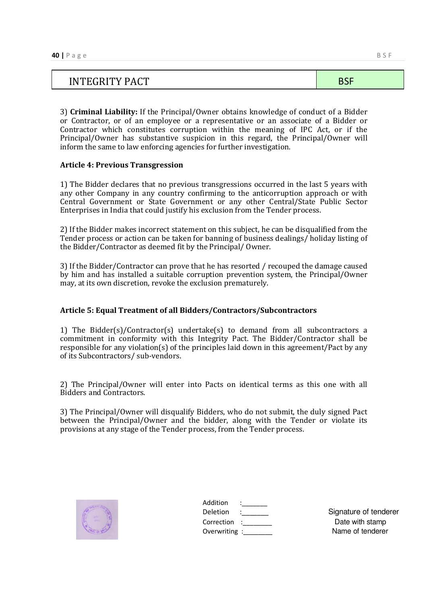# INTEGRITY PACT SERVICES IN THE SERVICE SERVICE SERVICES IN THE BSF

3) **Criminal Liability:** If the Principal/Owner obtains knowledge of conduct of a Bidder or Contractor, or of an employee or a representative or an associate of a Bidder or Contractor which constitutes corruption within the meaning of IPC Act, or if the Principal/Owner has substantive suspicion in this regard, the Principal/Owner will inform the same to law enforcing agencies for further investigation.

#### **Article 4: Previous Transgression**

1) The Bidder declares that no previous transgressions occurred in the last 5 years with any other Company in any country confirming to the anticorruption approach or with Central Government or State Government or any other Central/State Public Sector Enterprises in India that could justify his exclusion from the Tender process.

2) If the Bidder makes incorrect statement on this subject, he can be disqualified from the Tender process or action can be taken for banning of business dealings/ holiday listing of the Bidder/Contractor as deemed fit by the Principal/ Owner.

3) If the Bidder/Contractor can prove that he has resorted / recouped the damage caused by him and has installed a suitable corruption prevention system, the Principal/Owner may, at its own discretion, revoke the exclusion prematurely.

#### **Article 5: Equal Treatment of all Bidders/Contractors/Subcontractors**

1) The Bidder(s)/Contractor(s) undertake(s) to demand from all subcontractors a commitment in conformity with this Integrity Pact. The Bidder/Contractor shall be responsible for any violation(s) of the principles laid down in this agreement/Pact by any of its Subcontractors/ sub-vendors.

2) The Principal/Owner will enter into Pacts on identical terms as this one with all Bidders and Contractors.

3) The Principal/Owner will disqualify Bidders, who do not submit, the duly signed Pact between the Principal/Owner and the bidder, along with the Tender or violate its provisions at any stage of the Tender process, from the Tender process.



| Overwriting: |
|--------------|
|              |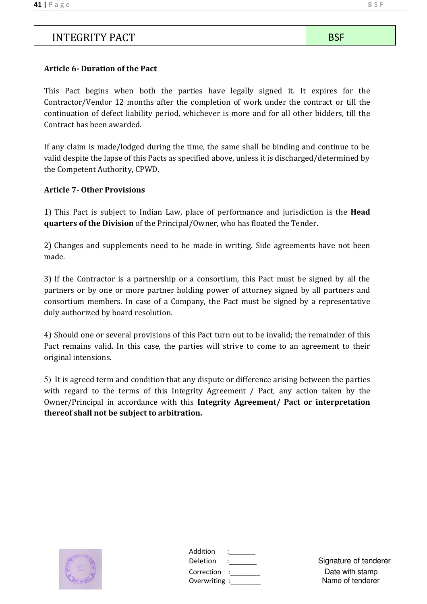### INTEGRITY PACT BSF

#### **Article 6- Duration of the Pact**

This Pact begins when both the parties have legally signed it. It expires for the Contractor/Vendor 12 months after the completion of work under the contract or till the continuation of defect liability period, whichever is more and for all other bidders, till the Contract has been awarded.

If any claim is made/lodged during the time, the same shall be binding and continue to be valid despite the lapse of this Pacts as specified above, unless it is discharged/determined by the Competent Authority, CPWD.

#### **Article 7- Other Provisions**

1) This Pact is subject to Indian Law, place of performance and jurisdiction is the **Head quarters of the Division** of the Principal/Owner, who has floated the Tender.

2) Changes and supplements need to be made in writing. Side agreements have not been made.

3) If the Contractor is a partnership or a consortium, this Pact must be signed by all the partners or by one or more partner holding power of attorney signed by all partners and consortium members. In case of a Company, the Pact must be signed by a representative duly authorized by board resolution.

4) Should one or several provisions of this Pact turn out to be invalid; the remainder of this Pact remains valid. In this case, the parties will strive to come to an agreement to their original intensions.

5) It is agreed term and condition that any dispute or difference arising between the parties with regard to the terms of this Integrity Agreement / Pact, any action taken by the Owner/Principal in accordance with this **Integrity Agreement/ Pact or interpretation thereof shall not be subject to arbitration.** 



| Addition      |  |
|---------------|--|
| Deletion      |  |
| Correction    |  |
| Overwriting : |  |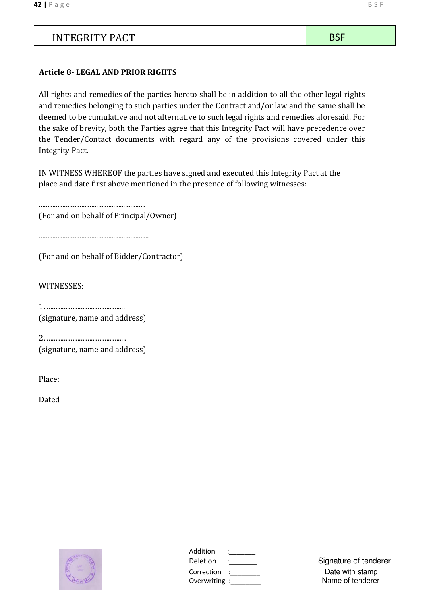### INTEGRITY PACT BSF

#### **Article 8- LEGAL AND PRIOR RIGHTS**

All rights and remedies of the parties hereto shall be in addition to all the other legal rights and remedies belonging to such parties under the Contract and/or law and the same shall be deemed to be cumulative and not alternative to such legal rights and remedies aforesaid. For the sake of brevity, both the Parties agree that this Integrity Pact will have precedence over the Tender/Contact documents with regard any of the provisions covered under this Integrity Pact.

IN WITNESS WHEREOF the parties have signed and executed this Integrity Pact at the place and date first above mentioned in the presence of following witnesses:

...............................................................

(For and on behalf of Principal/Owner)

.................................................................

(For and on behalf of Bidder/Contractor)

WITNESSES:

1. .............................................. (signature, name and address)

2. ............................................... (signature, name and address)

Place:

Dated



| Addition     |  |
|--------------|--|
| Deletion     |  |
| Correction   |  |
| Overwriting: |  |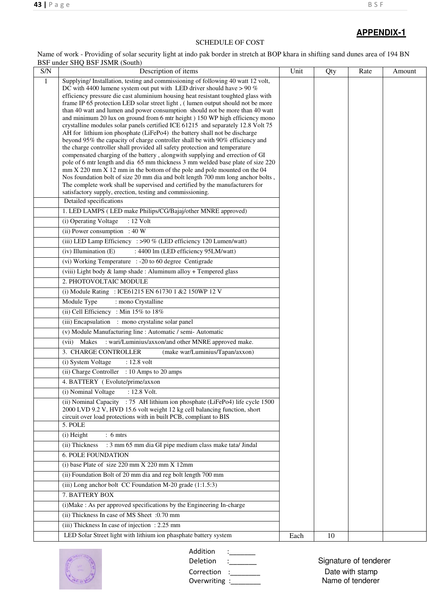#### SCHEDULE OF COST

Name of work - Providing of solar security light at indo pak border in stretch at BOP khara in shifting sand dunes area of 194 BN BSF under SHQ BSF JSMR (South)

| S/N          | DOL UNGL JUN DOL JOMK (JOHN)<br>Description of items                                                                                                                 | Unit | Qty | Rate | Amount |
|--------------|----------------------------------------------------------------------------------------------------------------------------------------------------------------------|------|-----|------|--------|
| $\mathbf{1}$ | Supplying/Installation, testing and commissioning of following 40 watt 12 volt,                                                                                      |      |     |      |        |
|              | DC with 4400 lumene system out put with LED driver should have $> 90\%$                                                                                              |      |     |      |        |
|              | efficiency pressure die cast aluminium housing heat resistant toughted glass with<br>frame IP 65 protection LED solar street light, (lumen output should not be more |      |     |      |        |
|              | than 40 watt and lumen and power consumption should not be more than 40 watt                                                                                         |      |     |      |        |
|              | and minimum 20 lux on ground from 6 mtr height ) 150 WP high efficiency mono                                                                                         |      |     |      |        |
|              | crystalline modules solar panels certified ICE 61215 and separately 12.8 Volt 75<br>AH for lithium ion phosphate (LiFePo4) the battery shall not be discharge        |      |     |      |        |
|              | beyond 95% the capacity of charge controller shall be with 90% efficiency and                                                                                        |      |     |      |        |
|              | the charge controller shall provided all safety protection and temperature                                                                                           |      |     |      |        |
|              | compensated charging of the battery, alongwith supplying and errection of GI<br>pole of 6 mtr length and dia 65 mm thickness 3 mm welded base plate of size 220      |      |     |      |        |
|              | mm X 220 mm X 12 mm in the bottom of the pole and pole mounted on the 04                                                                                             |      |     |      |        |
|              | Nos foundation bolt of size 20 mm dia and bolt length 700 mm long anchor bolts,                                                                                      |      |     |      |        |
|              | The complete work shall be supervised and certified by the manufacturers for<br>satisfactory supply, erection, testing and commissioning.                            |      |     |      |        |
|              | Detailed specifications                                                                                                                                              |      |     |      |        |
|              | 1. LED LAMPS (LED make Philips/CG/Bajaj/other MNRE approved)                                                                                                         |      |     |      |        |
|              | (i) Operating Voltage<br>: 12 Volt                                                                                                                                   |      |     |      |        |
|              | (ii) Power consumption : 40 W                                                                                                                                        |      |     |      |        |
|              | (iii) LED Lamp Efficiency : >90 % (LED efficiency 120 Lumen/watt)                                                                                                    |      |     |      |        |
|              | : 4400 lm (LED efficiency 95LM/watt)<br>(iv) Illumination (E)                                                                                                        |      |     |      |        |
|              | (vi) Working Temperature : -20 to 60 degree Centigrade                                                                                                               |      |     |      |        |
|              | (viii) Light body & lamp shade: Aluminum alloy + Tempered glass                                                                                                      |      |     |      |        |
|              | 2. PHOTOVOLTAIC MODULE                                                                                                                                               |      |     |      |        |
|              | (i) Module Rating : ICE61215 EN 61730 1 & 2 150WP 12 V                                                                                                               |      |     |      |        |
|              | Module Type<br>: mono Crystalline                                                                                                                                    |      |     |      |        |
|              | (ii) Cell Efficiency : Min 15% to 18%                                                                                                                                |      |     |      |        |
|              | (iii) Encapsulation : mono crystaline solar panel                                                                                                                    |      |     |      |        |
|              | (v) Module Manufacturing line : Automatic / semi- Automatic                                                                                                          |      |     |      |        |
|              | (vii) Makes : wari/Luminius/axxon/and other MNRE approved make.                                                                                                      |      |     |      |        |
|              | 3. CHARGE CONTROLLER<br>(make war/Luminius/Tapan/axxon)                                                                                                              |      |     |      |        |
|              | (i) System Voltage<br>: 12.8 volt                                                                                                                                    |      |     |      |        |
|              | (ii) Charge Controller : 10 Amps to 20 amps                                                                                                                          |      |     |      |        |
|              | 4. BATTERY (Evolute/prime/axxon                                                                                                                                      |      |     |      |        |
|              | (i) Nominal Voltage<br>: 12.8 Volt.<br>(ii) Nominal Capacity : 75 AH lithium ion phosphate (LiFePo4) life cycle 1500                                                 |      |     |      |        |
|              | 2000 LVD 9.2 V, HVD 15.6 volt weight 12 kg cell balancing function, short                                                                                            |      |     |      |        |
|              | circuit over load protections with in built PCB, compliant to BIS                                                                                                    |      |     |      |        |
|              | 5. POLE                                                                                                                                                              |      |     |      |        |
|              | (i) Height<br>$: 6 \text{ m}$                                                                                                                                        |      |     |      |        |
|              | : 3 mm 65 mm dia GI pipe medium class make tata/ Jindal<br>(ii) Thickness                                                                                            |      |     |      |        |
|              | <b>6. POLE FOUNDATION</b>                                                                                                                                            |      |     |      |        |
|              | (i) base Plate of size $220$ mm $X$ $220$ mm $X$ $12$ mm                                                                                                             |      |     |      |        |
|              | (ii) Foundation Bolt of 20 mm dia and reg bolt length 700 mm                                                                                                         |      |     |      |        |
|              | (iii) Long anchor bolt CC Foundation M-20 grade (1:1.5:3)                                                                                                            |      |     |      |        |
|              | 7. BATTERY BOX                                                                                                                                                       |      |     |      |        |
|              | (i) Make : As per approved specifications by the Engineering In-charge                                                                                               |      |     |      |        |
|              | (ii) Thickness In case of MS Sheet :0.70 mm                                                                                                                          |      |     |      |        |
|              | (iii) Thickness In case of injection : 2.25 mm                                                                                                                       |      |     |      |        |
|              | LED Solar Street light with lithium ion phasphate battery system                                                                                                     | Each | 10  |      |        |



Addition :\_\_\_\_\_\_\_<br>Deletion :\_\_\_\_\_\_\_\_ Deletion :\_\_\_\_\_\_\_\_ Signature of tenderer Correction :\_\_\_\_\_\_\_\_\_\_\_ Date with stamp

Overwriting :\_\_\_\_\_\_\_\_ Name of tenderer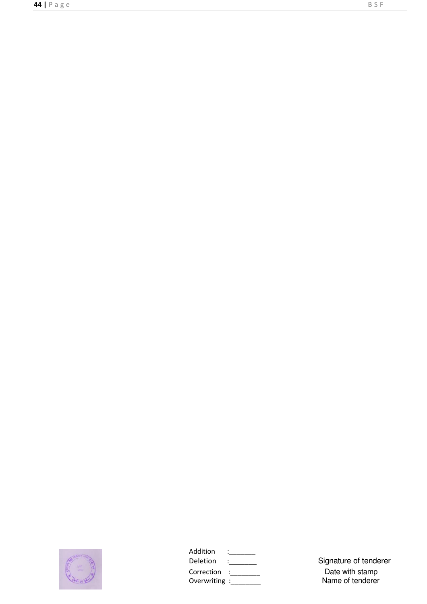

| Addition      |  |
|---------------|--|
| Deletion      |  |
| Correction    |  |
| Overwriting : |  |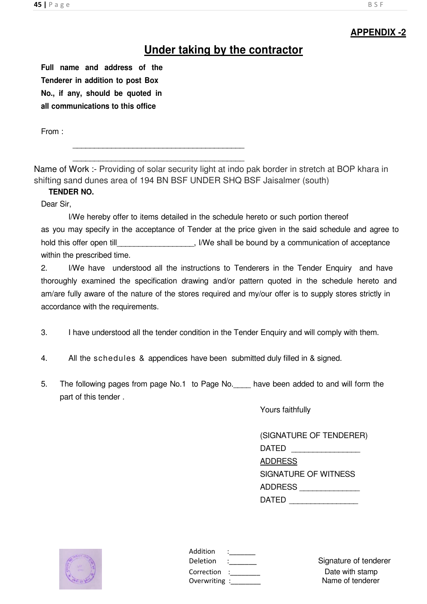### **Under taking by the contractor**

**Full name and address of the Tenderer in addition to post Box No., if any, should be quoted in all communications to this office**

From :

\_\_\_\_\_\_\_\_\_\_\_\_\_\_\_\_\_\_\_\_\_\_\_\_\_\_\_\_\_\_\_\_\_\_\_\_\_\_\_\_

\_\_\_\_\_\_\_\_\_\_\_\_\_\_\_\_\_\_\_\_\_\_\_\_\_\_\_\_\_\_\_\_\_\_\_\_\_\_\_\_

Name of Work :- Providing of solar security light at indo pak border in stretch at BOP khara in shifting sand dunes area of 194 BN BSF UNDER SHQ BSF Jaisalmer (south)

#### **TENDER NO.**

Dear Sir,

 I/We hereby offer to items detailed in the schedule hereto or such portion thereof as you may specify in the acceptance of Tender at the price given in the said schedule and agree to hold this offer open till **hold** this offer open till **we shall be bound by a communication of acceptance** within the prescribed time.

2. I/We have understood all the instructions to Tenderers in the Tender Enquiry and have thoroughly examined the specification drawing and/or pattern quoted in the schedule hereto and am/are fully aware of the nature of the stores required and my/our offer is to supply stores strictly in accordance with the requirements.

- 3. I have understood all the tender condition in the Tender Enquiry and will comply with them.
- 4. All the schedules & appendices have been submitted duly filled in & signed.
- 5. The following pages from page No.1 to Page No.\_\_\_\_ have been added to and will form the part of this tender .

Yours faithfully

| (SIGNATURE OF TENDERER) |
|-------------------------|
| DATED                   |
| <b>ADDRESS</b>          |
| SIGNATURE OF WITNESS    |
| ADDRESS                 |
| DATED                   |



| Addition    |  |
|-------------|--|
| Deletion    |  |
| Correction  |  |
| Overwriting |  |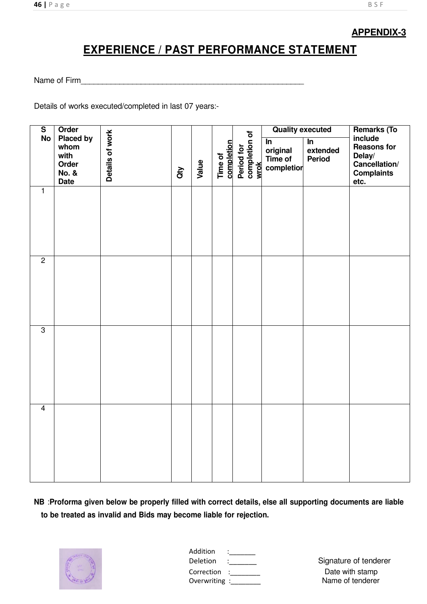## **EXPERIENCE / PAST PERFORMANCE STATEMENT**

Name of Firm <u>expression and the set of the set of the set of the set of the set of the set of the set of the set of the set of the set of the set of the set of the set of the set of the set of the set of the set of the se</u>

Details of works executed/completed in last 07 years:-

| $\overline{\mathsf{s}}$ | Order                                                                 |                 |                      |       |                       |                                     | <b>Quality executed</b>                                       |                                                | <b>Remarks (To</b>                                                                    |
|-------------------------|-----------------------------------------------------------------------|-----------------|----------------------|-------|-----------------------|-------------------------------------|---------------------------------------------------------------|------------------------------------------------|---------------------------------------------------------------------------------------|
| No                      | Placed by<br>whom<br>with<br>Order<br><b>No. &amp;</b><br><b>Date</b> | Details of work | $\widetilde{\sigma}$ | Value | completion<br>Time of | Period for<br>completion of<br>wrok | $\overline{\mathsf{In}}$<br>original<br>Time of<br>completion | $\overline{\mathsf{In}}$<br>extended<br>Period | include<br><b>Reasons for</b><br>Delay/<br>Cancellation/<br><b>Complaints</b><br>etc. |
| $\overline{1}$          |                                                                       |                 |                      |       |                       |                                     |                                                               |                                                |                                                                                       |
| $\overline{2}$          |                                                                       |                 |                      |       |                       |                                     |                                                               |                                                |                                                                                       |
| $\overline{3}$          |                                                                       |                 |                      |       |                       |                                     |                                                               |                                                |                                                                                       |
| $\overline{4}$          |                                                                       |                 |                      |       |                       |                                     |                                                               |                                                |                                                                                       |

**NB** :**Proforma given below be properly filled with correct details, else all supporting documents are liable to be treated as invalid and Bids may become liable for rejection.**



| Addition    |  |
|-------------|--|
| Deletion    |  |
| Correction  |  |
| Overwriting |  |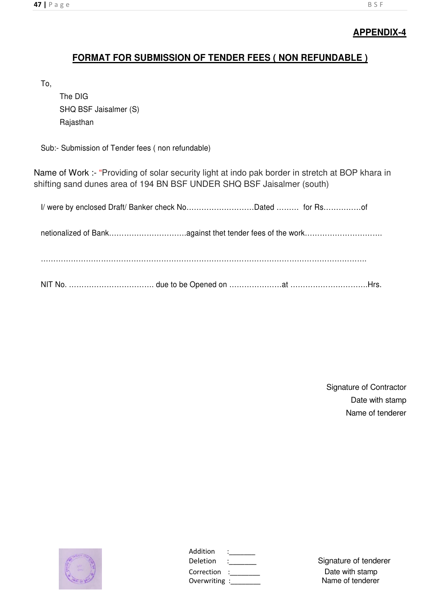### **FORMAT FOR SUBMISSION OF TENDER FEES ( NON REFUNDABLE )**

To,

The DIG SHQ BSF Jaisalmer (S) Rajasthan

Sub:- Submission of Tender fees ( non refundable)

Name of Work :- "Providing of solar security light at indo pak border in stretch at BOP khara in shifting sand dunes area of 194 BN BSF UNDER SHQ BSF Jaisalmer (south)

| I/ were by enclosed Draft/ Banker check NoDated  for Rsof |  |  |
|-----------------------------------------------------------|--|--|
|                                                           |  |  |
|                                                           |  |  |
|                                                           |  |  |

Signature of Contractor Date with stamp Name of tenderer



| Addition      |  |
|---------------|--|
| Deletion      |  |
| Correction    |  |
| Overwriting : |  |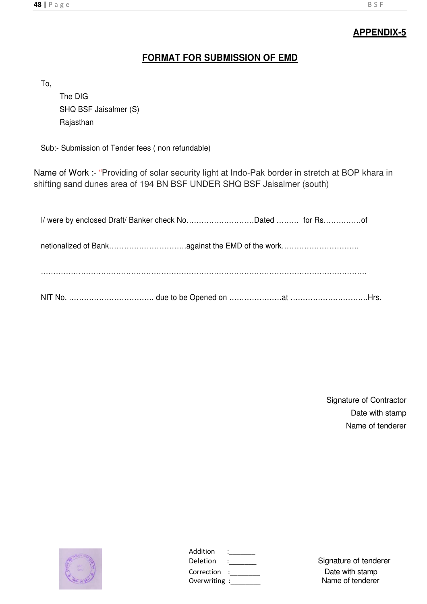### **FORMAT FOR SUBMISSION OF EMD**

To,

 The DIG SHQ BSF Jaisalmer (S) Rajasthan

Sub:- Submission of Tender fees ( non refundable)

Name of Work :- "Providing of solar security light at Indo-Pak border in stretch at BOP khara in shifting sand dunes area of 194 BN BSF UNDER SHQ BSF Jaisalmer (south)

| I/ were by enclosed Draft/ Banker check NoDated  for Rsof |  |  |
|-----------------------------------------------------------|--|--|
|                                                           |  |  |
| netionalized of Bankagainst the EMD of the work           |  |  |
|                                                           |  |  |
|                                                           |  |  |
|                                                           |  |  |
|                                                           |  |  |

Signature of Contractor Date with stamp Name of tenderer



| Addition     |  |
|--------------|--|
| Deletion     |  |
| Correction   |  |
| Overwriting: |  |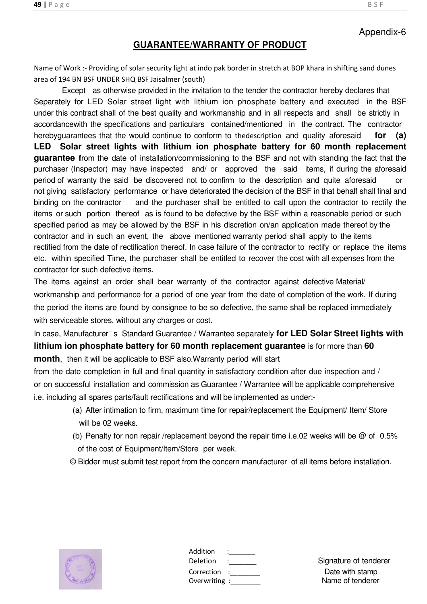### Appendix-6

### **GUARANTEE/WARRANTY OF PRODUCT**

Name of Work :- Providing of solar security light at indo pak border in stretch at BOP khara in shifting sand dunes area of 194 BN BSF UNDER SHQ BSF Jaisalmer (south)

Except as otherwise provided in the invitation to the tender the contractor hereby declares that Separately for LED Solar street light with lithium ion phosphate battery and executed in the BSF under this contract shall of the best quality and workmanship and in all respects and shall be strictly in accordancewith the specifications and particulars contained/mentioned in the contract. The contractor herebyguarantees that the would continue to conform to thedescription and quality aforesaid **for (a) LED Solar street lights with lithium ion phosphate battery for 60 month replacement guarantee f**rom the date of installation/commissioning to the BSF and not with standing the fact that the purchaser (Inspector) may have inspected and/ or approved the said items, if during the aforesaid period of warranty the said be discovered not to confirm to the description and quite aforesaid or not giving satisfactory performance or have deteriorated the decision of the BSF in that behalf shall final and binding on the contractor and the purchaser shall be entitled to call upon the contractor to rectify the items or such portion thereof as is found to be defective by the BSF within a reasonable period or such specified period as may be allowed by the BSF in his discretion on/an application made thereof by the contractor and in such an event, the above mentioned warranty period shall apply to the items rectified from the date of rectification thereof. In case failure of the contractor to rectify or replace the items etc. within specified Time, the purchaser shall be entitled to recover the cost with all expenses from the contractor for such defective items.

The items against an order shall bear warranty of the contractor against defective Material/ workmanship and performance for a period of one year from the date of completion of the work. If during the period the items are found by consignee to be so defective, the same shall be replaced immediately with serviceable stores, without any charges or cost.

In case, Manufacturer□s Standard Guarantee / Warrantee separately for LED Solar Street lights with **lithium ion phosphate battery for 60 month replacement guarantee** is for more than 60 **month**, then it will be applicable to BSF also.Warranty period will start

from the date completion in full and final quantity in satisfactory condition after due inspection and / or on successful installation and commission as Guarantee / Warrantee will be applicable comprehensive i.e. including all spares parts/fault rectifications and will be implemented as under:-

- (a) After intimation to firm, maximum time for repair/replacement the Equipment/ Item/ Store will be 02 weeks.
- (b) Penalty for non repair /replacement beyond the repair time i.e.02 weeks will be @ of 0.5% of the cost of Equipment/Item/Store per week.
- © Bidder must submit test report from the concern manufacturer of all items before installation.



| Addition<br>Deletion      |  |
|---------------------------|--|
| Correction<br>Overwriting |  |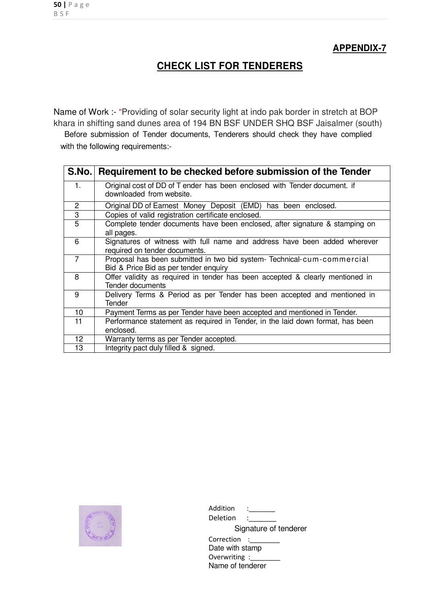### **CHECK LIST FOR TENDERERS**

Name of Work :- "Providing of solar security light at indo pak border in stretch at BOP khara in shifting sand dunes area of 194 BN BSF UNDER SHQ BSF Jaisalmer (south)

Before submission of Tender documents, Tenderers should check they have complied with the following requirements:-

| S.No.          | Requirement to be checked before submission of the Tender                                                       |
|----------------|-----------------------------------------------------------------------------------------------------------------|
| 1.             | Original cost of DD of T ender has been enclosed with Tender document. if<br>downloaded from website.           |
| 2              | Original DD of Earnest Money Deposit (EMD) has been enclosed.                                                   |
| 3              | Copies of valid registration certificate enclosed.                                                              |
| $\overline{5}$ | Complete tender documents have been enclosed, after signature & stamping on<br>all pages.                       |
| 6              | Signatures of witness with full name and address have been added wherever<br>required on tender documents.      |
| $\overline{7}$ | Proposal has been submitted in two bid system-Technical-cum-commercial<br>Bid & Price Bid as per tender enquiry |
| 8              | Offer validity as required in tender has been accepted & clearly mentioned in<br>Tender documents               |
| 9              | Delivery Terms & Period as per Tender has been accepted and mentioned in<br>Tender                              |
| 10             | Payment Terms as per Tender have been accepted and mentioned in Tender.                                         |
| 11             | Performance statement as required in Tender, in the laid down format, has been<br>enclosed.                     |
| 12             | Warranty terms as per Tender accepted.                                                                          |
| 13             | Integrity pact duly filled & signed.                                                                            |



| Addition<br>Deletion |                       |
|----------------------|-----------------------|
|                      |                       |
|                      | Signature of tenderer |
| Correction           |                       |
| Date with stamp      |                       |
| Overwriting :        |                       |
| Name of tenderer     |                       |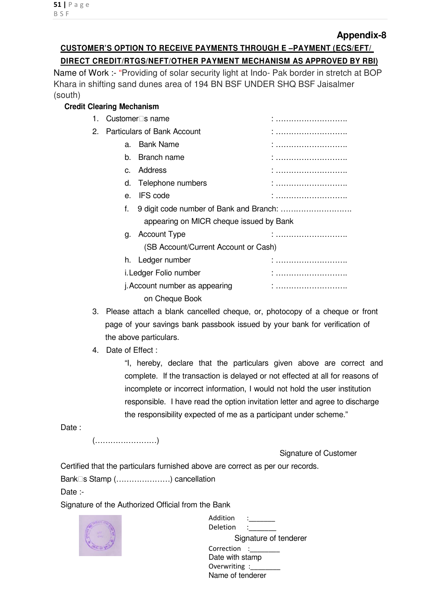#### **Appendix-8**

### **CUSTOMER'S OPTION TO RECEIVE PAYMENTS THROUGH E –PAYMENT (ECS/EFT/ DIRECT CREDIT/RTGS/NEFT/OTHER PAYMENT MECHANISM AS APPROVED BY RBI)**

Name of Work :- "Providing of solar security light at Indo- Pak border in stretch at BOP Khara in shifting sand dunes area of 194 BN BSF UNDER SHQ BSF Jaisalmer (south)

#### **Credit Clearing Mechanism**

| 1. | Customer□s name                    |                                         |        |
|----|------------------------------------|-----------------------------------------|--------|
| 2. | <b>Particulars of Bank Account</b> |                                         | :      |
|    | a.                                 | <b>Bank Name</b>                        | .<br>. |
|    | b.                                 | Branch name                             |        |
|    | $C_{\cdot}$                        | Address                                 |        |
|    |                                    | d. Telephone numbers                    | :      |
|    |                                    | e. IFS code                             | :      |
|    | f.                                 |                                         |        |
|    |                                    | appearing on MICR cheque issued by Bank |        |
|    | g.                                 | <b>Account Type</b>                     |        |
|    |                                    | (SB Account/Current Account or Cash)    |        |
|    |                                    | h. Ledger number                        |        |
|    | i. Ledger Folio number             |                                         | :      |
|    | j. Account number as appearing     |                                         |        |
|    |                                    | on Cheque Book                          |        |

- 3. Please attach a blank cancelled cheque, or, photocopy of a cheque or front page of your savings bank passbook issued by your bank for verification of the above particulars.
- 4. Date of Effect :

"I, hereby, declare that the particulars given above are correct and complete. If the transaction is delayed or not effected at all for reasons of incomplete or incorrect information, I would not hold the user institution responsible. I have read the option invitation letter and agree to discharge the responsibility expected of me as a participant under scheme."

Date:

(……………………)

Signature of Customer

Certified that the particulars furnished above are correct as per our records.

Bank□s Stamp (……………………) cancellation

Date :-

Signature of the Authorized Official from the Bank



| Addition<br>Deletion  |  |  |  |  |
|-----------------------|--|--|--|--|
| Signature of tenderer |  |  |  |  |
| Correction            |  |  |  |  |
| Date with stamp       |  |  |  |  |
| Overwriting :_        |  |  |  |  |
| Name of tenderer      |  |  |  |  |